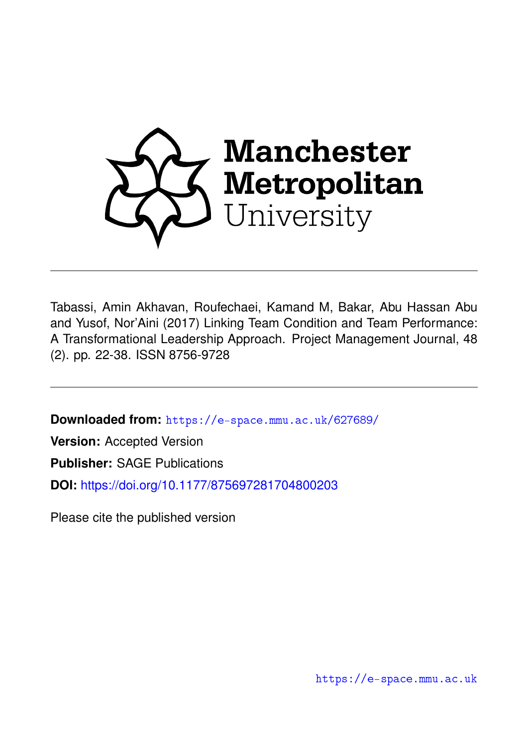

Tabassi, Amin Akhavan, Roufechaei, Kamand M, Bakar, Abu Hassan Abu and Yusof, Nor'Aini (2017) Linking Team Condition and Team Performance: A Transformational Leadership Approach. Project Management Journal, 48 (2). pp. 22-38. ISSN 8756-9728

**Downloaded from:** <https://e-space.mmu.ac.uk/627689/>

**Version:** Accepted Version

**Publisher:** SAGE Publications

**DOI:** <https://doi.org/10.1177/875697281704800203>

Please cite the published version

<https://e-space.mmu.ac.uk>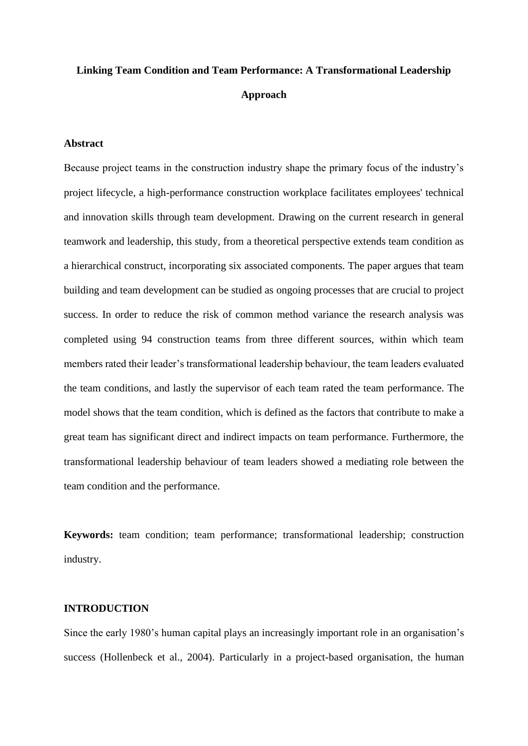# **Linking Team Condition and Team Performance: A Transformational Leadership Approach**

# **Abstract**

Because project teams in the construction industry shape the primary focus of the industry's project lifecycle, a high-performance construction workplace facilitates employees' technical and innovation skills through team development. Drawing on the current research in general teamwork and leadership, this study, from a theoretical perspective extends team condition as a hierarchical construct, incorporating six associated components. The paper argues that team building and team development can be studied as ongoing processes that are crucial to project success. In order to reduce the risk of common method variance the research analysis was completed using 94 construction teams from three different sources, within which team members rated their leader's transformational leadership behaviour, the team leaders evaluated the team conditions, and lastly the supervisor of each team rated the team performance. The model shows that the team condition, which is defined as the factors that contribute to make a great team has significant direct and indirect impacts on team performance. Furthermore, the transformational leadership behaviour of team leaders showed a mediating role between the team condition and the performance.

**Keywords:** team condition; team performance; transformational leadership; construction industry.

# **INTRODUCTION**

Since the early 1980's human capital plays an increasingly important role in an organisation's success (Hollenbeck et al., 2004). Particularly in a project-based organisation, the human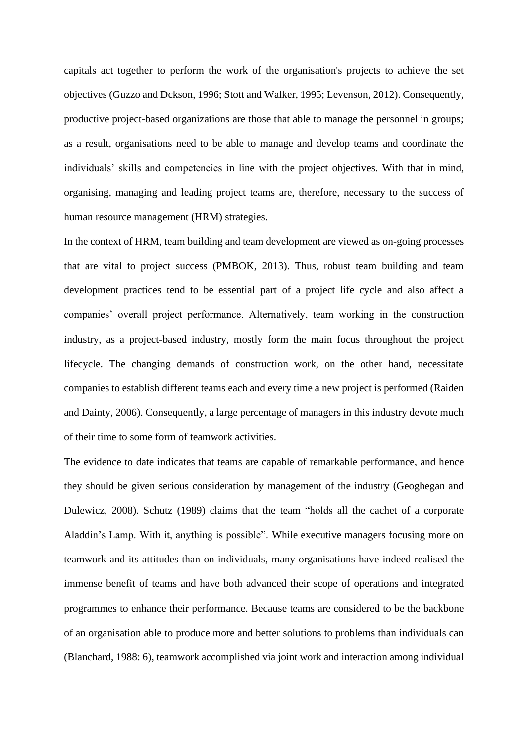capitals act together to perform the work of the organisation's projects to achieve the set objectives (Guzzo and Dckson, 1996; Stott and Walker, 1995; Levenson, 2012). Consequently, productive project-based organizations are those that able to manage the personnel in groups; as a result, organisations need to be able to manage and develop teams and coordinate the individuals' skills and competencies in line with the project objectives. With that in mind, organising, managing and leading project teams are, therefore, necessary to the success of human resource management (HRM) strategies.

In the context of HRM, team building and team development are viewed as on-going processes that are vital to project success (PMBOK, 2013). Thus, robust team building and team development practices tend to be essential part of a project life cycle and also affect a companies' overall project performance. Alternatively, team working in the construction industry, as a project-based industry, mostly form the main focus throughout the project lifecycle. The changing demands of construction work, on the other hand, necessitate companies to establish different teams each and every time a new project is performed (Raiden and Dainty, 2006). Consequently, a large percentage of managers in this industry devote much of their time to some form of teamwork activities.

The evidence to date indicates that teams are capable of remarkable performance, and hence they should be given serious consideration by management of the industry (Geoghegan and Dulewicz, 2008). Schutz (1989) claims that the team "holds all the cachet of a corporate Aladdin's Lamp. With it, anything is possible". While executive managers focusing more on teamwork and its attitudes than on individuals, many organisations have indeed realised the immense benefit of teams and have both advanced their scope of operations and integrated programmes to enhance their performance. Because teams are considered to be the backbone of an organisation able to produce more and better solutions to problems than individuals can (Blanchard, 1988: 6), teamwork accomplished via joint work and interaction among individual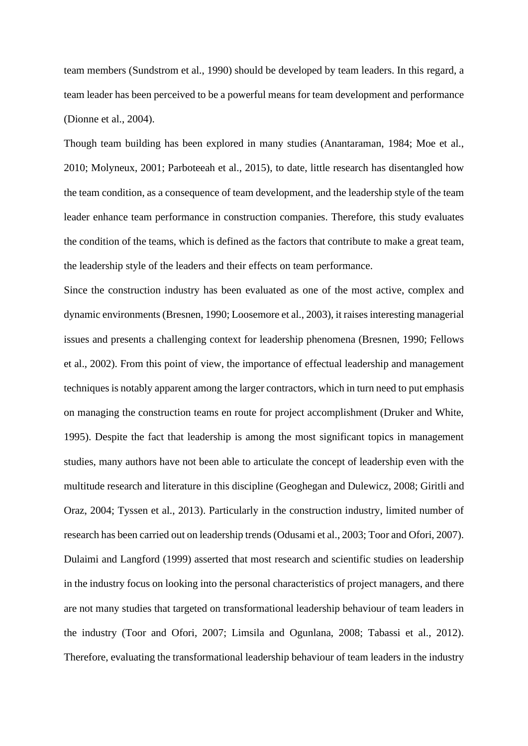team members (Sundstrom et al., 1990) should be developed by team leaders. In this regard, a team leader has been perceived to be a powerful means for team development and performance (Dionne et al., 2004).

Though team building has been explored in many studies (Anantaraman, 1984; Moe et al., 2010; Molyneux, 2001; Parboteeah et al., 2015), to date, little research has disentangled how the team condition, as a consequence of team development, and the leadership style of the team leader enhance team performance in construction companies. Therefore, this study evaluates the condition of the teams, which is defined as the factors that contribute to make a great team, the leadership style of the leaders and their effects on team performance.

Since the construction industry has been evaluated as one of the most active, complex and dynamic environments (Bresnen, 1990; Loosemore et al., 2003), it raisesinteresting managerial issues and presents a challenging context for leadership phenomena (Bresnen, 1990; Fellows et al., 2002). From this point of view, the importance of effectual leadership and management techniques is notably apparent among the larger contractors, which in turn need to put emphasis on managing the construction teams en route for project accomplishment (Druker and White, 1995). Despite the fact that leadership is among the most significant topics in management studies, many authors have not been able to articulate the concept of leadership even with the multitude research and literature in this discipline (Geoghegan and Dulewicz, 2008; Giritli and Oraz, 2004; Tyssen et al., 2013). Particularly in the construction industry, limited number of research has been carried out on leadership trends (Odusami et al., 2003; Toor and Ofori, 2007). Dulaimi and Langford (1999) asserted that most research and scientific studies on leadership in the industry focus on looking into the personal characteristics of project managers, and there are not many studies that targeted on transformational leadership behaviour of team leaders in the industry (Toor and Ofori, 2007; Limsila and Ogunlana, 2008; Tabassi et al., 2012). Therefore, evaluating the transformational leadership behaviour of team leaders in the industry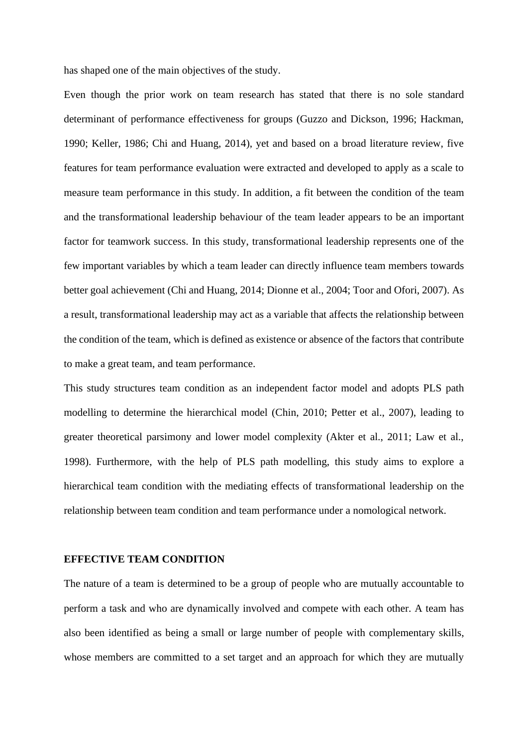has shaped one of the main objectives of the study.

Even though the prior work on team research has stated that there is no sole standard determinant of performance effectiveness for groups (Guzzo and Dickson, 1996; Hackman, 1990; Keller, 1986; Chi and Huang, 2014), yet and based on a broad literature review, five features for team performance evaluation were extracted and developed to apply as a scale to measure team performance in this study. In addition, a fit between the condition of the team and the transformational leadership behaviour of the team leader appears to be an important factor for teamwork success. In this study, transformational leadership represents one of the few important variables by which a team leader can directly influence team members towards better goal achievement (Chi and Huang, 2014; Dionne et al., 2004; Toor and Ofori, 2007). As a result, transformational leadership may act as a variable that affects the relationship between the condition of the team, which is defined as existence or absence of the factors that contribute to make a great team, and team performance.

This study structures team condition as an independent factor model and adopts PLS path modelling to determine the hierarchical model (Chin, 2010; Petter et al., 2007), leading to greater theoretical parsimony and lower model complexity (Akter et al., 2011; Law et al., 1998). Furthermore, with the help of PLS path modelling, this study aims to explore a hierarchical team condition with the mediating effects of transformational leadership on the relationship between team condition and team performance under a nomological network.

## **EFFECTIVE TEAM CONDITION**

The nature of a team is determined to be a group of people who are mutually accountable to perform a task and who are dynamically involved and compete with each other. A team has also been identified as being a small or large number of people with complementary skills, whose members are committed to a set target and an approach for which they are mutually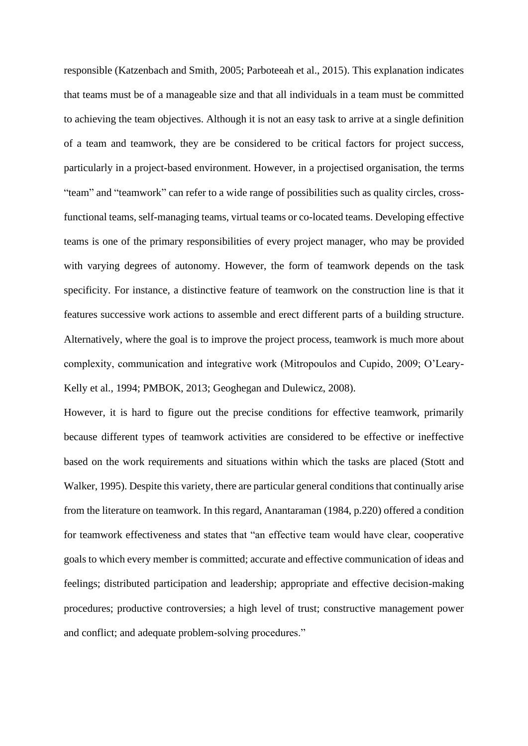responsible (Katzenbach and Smith, 2005; Parboteeah et al., 2015). This explanation indicates that teams must be of a manageable size and that all individuals in a team must be committed to achieving the team objectives. Although it is not an easy task to arrive at a single definition of a team and teamwork, they are be considered to be critical factors for project success, particularly in a project-based environment. However, in a projectised organisation, the terms "team" and "teamwork" can refer to a wide range of possibilities such as quality circles, crossfunctional teams, self-managing teams, virtual teams or co-located teams. Developing effective teams is one of the primary responsibilities of every project manager, who may be provided with varying degrees of autonomy. However, the form of teamwork depends on the task specificity. For instance, a distinctive feature of teamwork on the construction line is that it features successive work actions to assemble and erect different parts of a building structure. Alternatively, where the goal is to improve the project process, teamwork is much more about complexity, communication and integrative work (Mitropoulos and Cupido, 2009; O'Leary-Kelly et al., 1994; PMBOK, 2013; Geoghegan and Dulewicz, 2008).

However, it is hard to figure out the precise conditions for effective teamwork, primarily because different types of teamwork activities are considered to be effective or ineffective based on the work requirements and situations within which the tasks are placed (Stott and Walker, 1995). Despite this variety, there are particular general conditions that continually arise from the literature on teamwork. In this regard, Anantaraman (1984, p.220) offered a condition for teamwork effectiveness and states that "an effective team would have clear, cooperative goals to which every member is committed; accurate and effective communication of ideas and feelings; distributed participation and leadership; appropriate and effective decision-making procedures; productive controversies; a high level of trust; constructive management power and conflict; and adequate problem-solving procedures."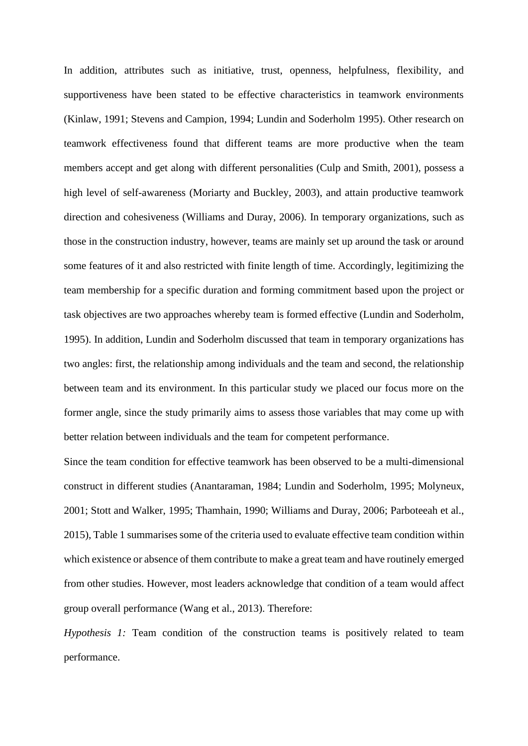In addition, attributes such as initiative, trust, openness, helpfulness, flexibility, and supportiveness have been stated to be effective characteristics in teamwork environments (Kinlaw, 1991; Stevens and Campion, 1994; Lundin and Soderholm 1995). Other research on teamwork effectiveness found that different teams are more productive when the team members accept and get along with different personalities (Culp and Smith, 2001), possess a high level of self-awareness (Moriarty and Buckley, 2003), and attain productive teamwork direction and cohesiveness (Williams and Duray, 2006). In temporary organizations, such as those in the construction industry, however, teams are mainly set up around the task or around some features of it and also restricted with finite length of time. Accordingly, legitimizing the team membership for a specific duration and forming commitment based upon the project or task objectives are two approaches whereby team is formed effective (Lundin and Soderholm, 1995). In addition, Lundin and Soderholm discussed that team in temporary organizations has two angles: first, the relationship among individuals and the team and second, the relationship between team and its environment. In this particular study we placed our focus more on the former angle, since the study primarily aims to assess those variables that may come up with better relation between individuals and the team for competent performance.

Since the team condition for effective teamwork has been observed to be a multi-dimensional construct in different studies (Anantaraman, 1984; Lundin and Soderholm, 1995; Molyneux, 2001; Stott and Walker, 1995; Thamhain, 1990; Williams and Duray, 2006; Parboteeah et al., 2015), Table 1 summarises some of the criteria used to evaluate effective team condition within which existence or absence of them contribute to make a great team and have routinely emerged from other studies. However, most leaders acknowledge that condition of a team would affect group overall performance (Wang et al., 2013). Therefore:

*Hypothesis 1:* Team condition of the construction teams is positively related to team performance.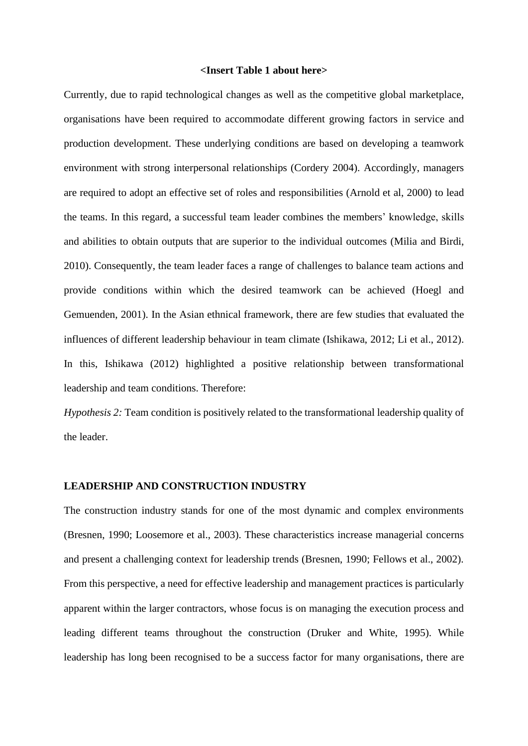#### **<Insert Table 1 about here>**

Currently, due to rapid technological changes as well as the competitive global marketplace, organisations have been required to accommodate different growing factors in service and production development. These underlying conditions are based on developing a teamwork environment with strong interpersonal relationships (Cordery 2004). Accordingly, managers are required to adopt an effective set of roles and responsibilities (Arnold et al, 2000) to lead the teams. In this regard, a successful team leader combines the members' knowledge, skills and abilities to obtain outputs that are superior to the individual outcomes (Milia and Birdi, 2010). Consequently, the team leader faces a range of challenges to balance team actions and provide conditions within which the desired teamwork can be achieved (Hoegl and Gemuenden, 2001). In the Asian ethnical framework, there are few studies that evaluated the influences of different leadership behaviour in team climate (Ishikawa, 2012; Li et al., 2012). In this, Ishikawa (2012) highlighted a positive relationship between transformational leadership and team conditions. Therefore:

*Hypothesis 2:* Team condition is positively related to the transformational leadership quality of the leader.

#### **LEADERSHIP AND CONSTRUCTION INDUSTRY**

The construction industry stands for one of the most dynamic and complex environments (Bresnen, 1990; Loosemore et al., 2003). These characteristics increase managerial concerns and present a challenging context for leadership trends (Bresnen, 1990; Fellows et al., 2002). From this perspective, a need for effective leadership and management practices is particularly apparent within the larger contractors, whose focus is on managing the execution process and leading different teams throughout the construction (Druker and White, 1995). While leadership has long been recognised to be a success factor for many organisations, there are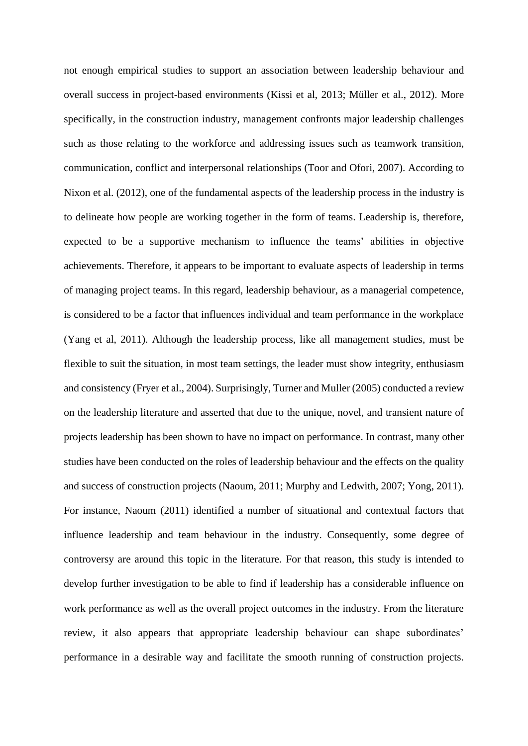not enough empirical studies to support an association between leadership behaviour and overall success in project-based environments (Kissi et al, 2013; Müller et al., 2012). More specifically, in the construction industry, management confronts major leadership challenges such as those relating to the workforce and addressing issues such as teamwork transition, communication, conflict and interpersonal relationships (Toor and Ofori, 2007). According to Nixon et al. (2012), one of the fundamental aspects of the leadership process in the industry is to delineate how people are working together in the form of teams. Leadership is, therefore, expected to be a supportive mechanism to influence the teams' abilities in objective achievements. Therefore, it appears to be important to evaluate aspects of leadership in terms of managing project teams. In this regard, leadership behaviour, as a managerial competence, is considered to be a factor that influences individual and team performance in the workplace (Yang et al, 2011). Although the leadership process, like all management studies, must be flexible to suit the situation, in most team settings, the leader must show integrity, enthusiasm and consistency (Fryer et al., 2004). Surprisingly, Turner and Muller (2005) conducted a review on the leadership literature and asserted that due to the unique, novel, and transient nature of projects leadership has been shown to have no impact on performance. In contrast, many other studies have been conducted on the roles of leadership behaviour and the effects on the quality and success of construction projects (Naoum, 2011; Murphy and Ledwith, 2007; Yong, 2011). For instance, Naoum (2011) identified a number of situational and contextual factors that influence leadership and team behaviour in the industry. Consequently, some degree of controversy are around this topic in the literature. For that reason, this study is intended to develop further investigation to be able to find if leadership has a considerable influence on work performance as well as the overall project outcomes in the industry. From the literature review, it also appears that appropriate leadership behaviour can shape subordinates' performance in a desirable way and facilitate the smooth running of construction projects.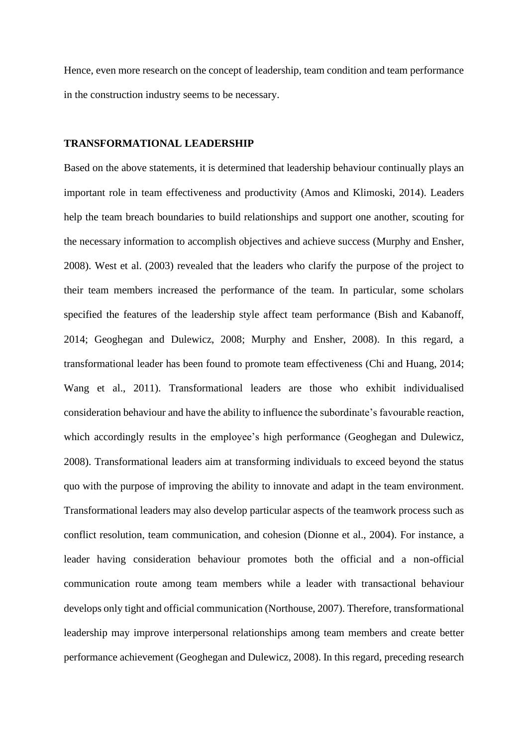Hence, even more research on the concept of leadership, team condition and team performance in the construction industry seems to be necessary.

# **TRANSFORMATIONAL LEADERSHIP**

Based on the above statements, it is determined that leadership behaviour continually plays an important role in team effectiveness and productivity (Amos and Klimoski, 2014). Leaders help the team breach boundaries to build relationships and support one another, scouting for the necessary information to accomplish objectives and achieve success (Murphy and Ensher, 2008). West et al. (2003) revealed that the leaders who clarify the purpose of the project to their team members increased the performance of the team. In particular, some scholars specified the features of the leadership style affect team performance (Bish and Kabanoff, 2014; Geoghegan and Dulewicz, 2008; Murphy and Ensher, 2008). In this regard, a transformational leader has been found to promote team effectiveness (Chi and Huang, 2014; Wang et al., 2011). Transformational leaders are those who exhibit individualised consideration behaviour and have the ability to influence the subordinate's favourable reaction, which accordingly results in the employee's high performance (Geoghegan and Dulewicz, 2008). Transformational leaders aim at transforming individuals to exceed beyond the status quo with the purpose of improving the ability to innovate and adapt in the team environment. Transformational leaders may also develop particular aspects of the teamwork process such as conflict resolution, team communication, and cohesion (Dionne et al., 2004). For instance, a leader having consideration behaviour promotes both the official and a non-official communication route among team members while a leader with transactional behaviour develops only tight and official communication (Northouse, 2007). Therefore, transformational leadership may improve interpersonal relationships among team members and create better performance achievement (Geoghegan and Dulewicz, 2008). In this regard, preceding research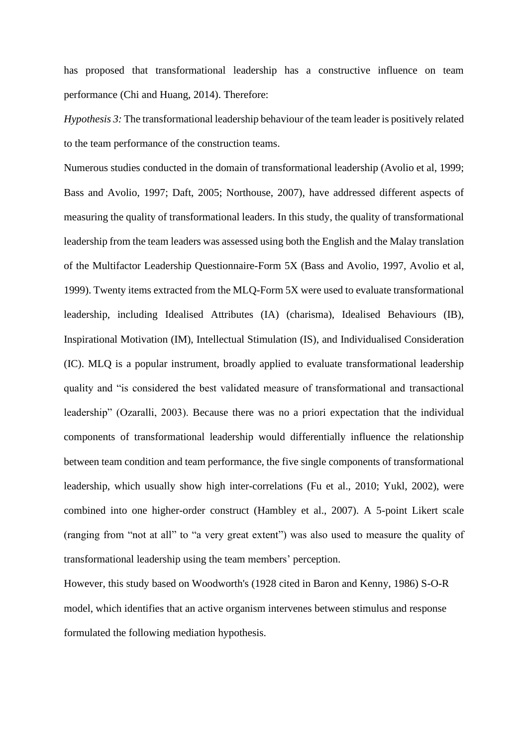has proposed that transformational leadership has a constructive influence on team performance (Chi and Huang, 2014). Therefore:

*Hypothesis 3:* The transformational leadership behaviour of the team leader is positively related to the team performance of the construction teams.

Numerous studies conducted in the domain of transformational leadership (Avolio et al, 1999; Bass and Avolio, 1997; Daft, 2005; Northouse, 2007), have addressed different aspects of measuring the quality of transformational leaders. In this study, the quality of transformational leadership from the team leaders was assessed using both the English and the Malay translation of the Multifactor Leadership Questionnaire-Form 5X (Bass and Avolio, 1997, Avolio et al, 1999). Twenty items extracted from the MLQ-Form 5X were used to evaluate transformational leadership, including Idealised Attributes (IA) (charisma), Idealised Behaviours (IB), Inspirational Motivation (IM), Intellectual Stimulation (IS), and Individualised Consideration (IC). MLQ is a popular instrument, broadly applied to evaluate transformational leadership quality and "is considered the best validated measure of transformational and transactional leadership" (Ozaralli, 2003). Because there was no a priori expectation that the individual components of transformational leadership would differentially influence the relationship between team condition and team performance, the five single components of transformational leadership, which usually show high inter-correlations (Fu et al., 2010; Yukl, 2002), were combined into one higher-order construct (Hambley et al., 2007). A 5-point Likert scale (ranging from "not at all" to "a very great extent") was also used to measure the quality of transformational leadership using the team members' perception.

However, this study based on Woodworth's (1928 cited in Baron and Kenny, 1986) S-O-R model, which identifies that an active organism intervenes between stimulus and response formulated the following mediation hypothesis.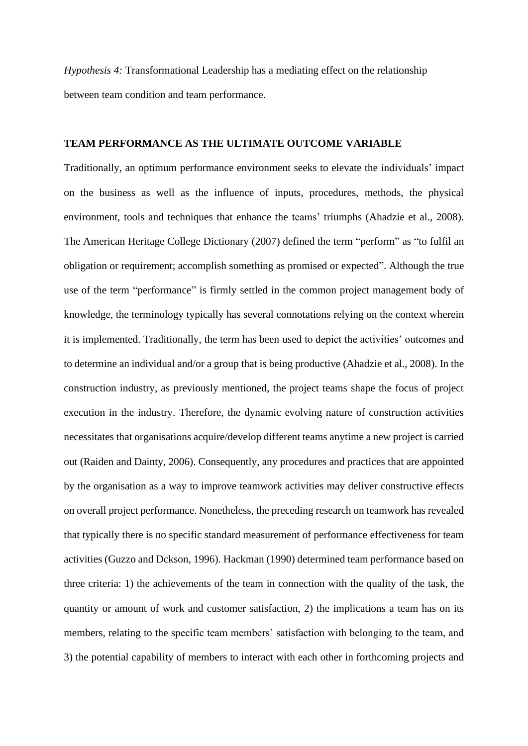*Hypothesis 4:* Transformational Leadership has a mediating effect on the relationship between team condition and team performance.

# **TEAM PERFORMANCE AS THE ULTIMATE OUTCOME VARIABLE**

Traditionally, an optimum performance environment seeks to elevate the individuals' impact on the business as well as the influence of inputs, procedures, methods, the physical environment, tools and techniques that enhance the teams' triumphs (Ahadzie et al., 2008). The American Heritage College Dictionary (2007) defined the term "perform" as "to fulfil an obligation or requirement; accomplish something as promised or expected". Although the true use of the term "performance" is firmly settled in the common project management body of knowledge, the terminology typically has several connotations relying on the context wherein it is implemented. Traditionally, the term has been used to depict the activities' outcomes and to determine an individual and/or a group that is being productive (Ahadzie et al., 2008). In the construction industry, as previously mentioned, the project teams shape the focus of project execution in the industry. Therefore, the dynamic evolving nature of construction activities necessitates that organisations acquire/develop different teams anytime a new project is carried out (Raiden and Dainty, 2006). Consequently, any procedures and practices that are appointed by the organisation as a way to improve teamwork activities may deliver constructive effects on overall project performance. Nonetheless, the preceding research on teamwork has revealed that typically there is no specific standard measurement of performance effectiveness for team activities (Guzzo and Dckson, 1996). Hackman (1990) determined team performance based on three criteria: 1) the achievements of the team in connection with the quality of the task, the quantity or amount of work and customer satisfaction, 2) the implications a team has on its members, relating to the specific team members' satisfaction with belonging to the team, and 3) the potential capability of members to interact with each other in forthcoming projects and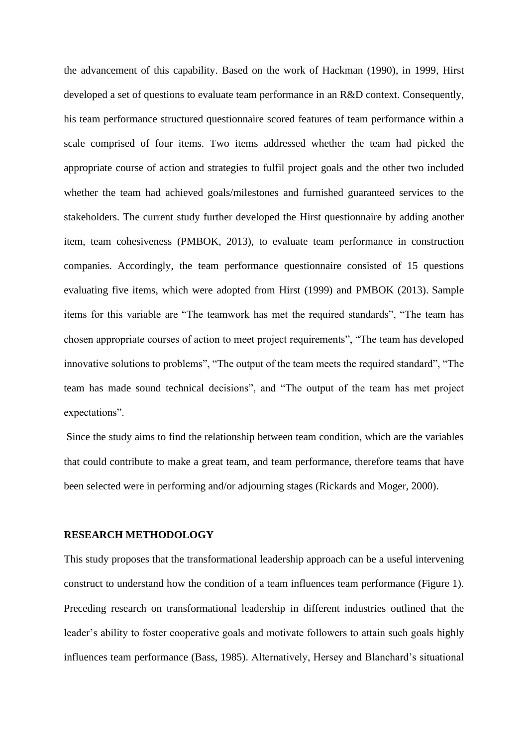the advancement of this capability. Based on the work of Hackman (1990), in 1999, Hirst developed a set of questions to evaluate team performance in an R&D context. Consequently, his team performance structured questionnaire scored features of team performance within a scale comprised of four items. Two items addressed whether the team had picked the appropriate course of action and strategies to fulfil project goals and the other two included whether the team had achieved goals/milestones and furnished guaranteed services to the stakeholders. The current study further developed the Hirst questionnaire by adding another item, team cohesiveness (PMBOK, 2013), to evaluate team performance in construction companies. Accordingly, the team performance questionnaire consisted of 15 questions evaluating five items, which were adopted from Hirst (1999) and PMBOK (2013). Sample items for this variable are "The teamwork has met the required standards", "The team has chosen appropriate courses of action to meet project requirements", "The team has developed innovative solutions to problems", "The output of the team meets the required standard", "The team has made sound technical decisions", and "The output of the team has met project expectations".

Since the study aims to find the relationship between team condition, which are the variables that could contribute to make a great team, and team performance, therefore teams that have been selected were in performing and/or adjourning stages (Rickards and Moger, 2000).

#### **RESEARCH METHODOLOGY**

This study proposes that the transformational leadership approach can be a useful intervening construct to understand how the condition of a team influences team performance (Figure 1). Preceding research on transformational leadership in different industries outlined that the leader's ability to foster cooperative goals and motivate followers to attain such goals highly influences team performance (Bass, 1985). Alternatively, Hersey and Blanchard's situational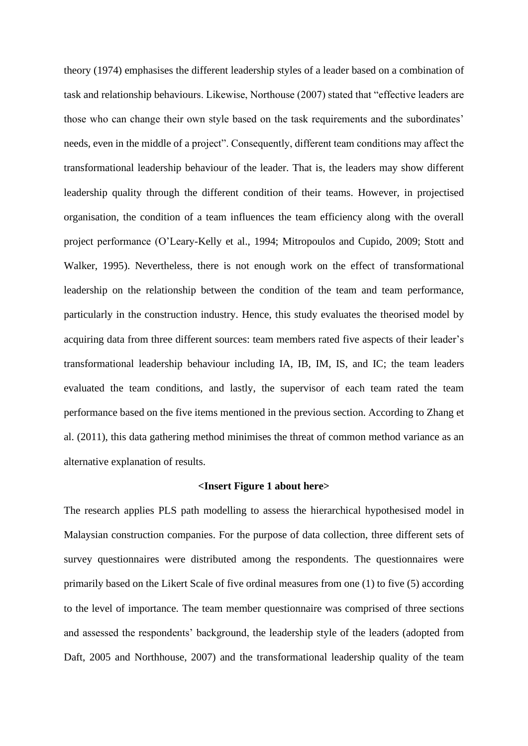theory (1974) emphasises the different leadership styles of a leader based on a combination of task and relationship behaviours. Likewise, Northouse (2007) stated that "effective leaders are those who can change their own style based on the task requirements and the subordinates' needs, even in the middle of a project". Consequently, different team conditions may affect the transformational leadership behaviour of the leader. That is, the leaders may show different leadership quality through the different condition of their teams. However, in projectised organisation, the condition of a team influences the team efficiency along with the overall project performance (O'Leary-Kelly et al., 1994; Mitropoulos and Cupido, 2009; Stott and Walker, 1995). Nevertheless, there is not enough work on the effect of transformational leadership on the relationship between the condition of the team and team performance, particularly in the construction industry. Hence, this study evaluates the theorised model by acquiring data from three different sources: team members rated five aspects of their leader's transformational leadership behaviour including IA, IB, IM, IS, and IC; the team leaders evaluated the team conditions, and lastly, the supervisor of each team rated the team performance based on the five items mentioned in the previous section. According to Zhang et al. (2011), this data gathering method minimises the threat of common method variance as an alternative explanation of results.

#### **<Insert Figure 1 about here>**

The research applies PLS path modelling to assess the hierarchical hypothesised model in Malaysian construction companies. For the purpose of data collection, three different sets of survey questionnaires were distributed among the respondents. The questionnaires were primarily based on the Likert Scale of five ordinal measures from one (1) to five (5) according to the level of importance. The team member questionnaire was comprised of three sections and assessed the respondents' background, the leadership style of the leaders (adopted from Daft, 2005 and Northhouse, 2007) and the transformational leadership quality of the team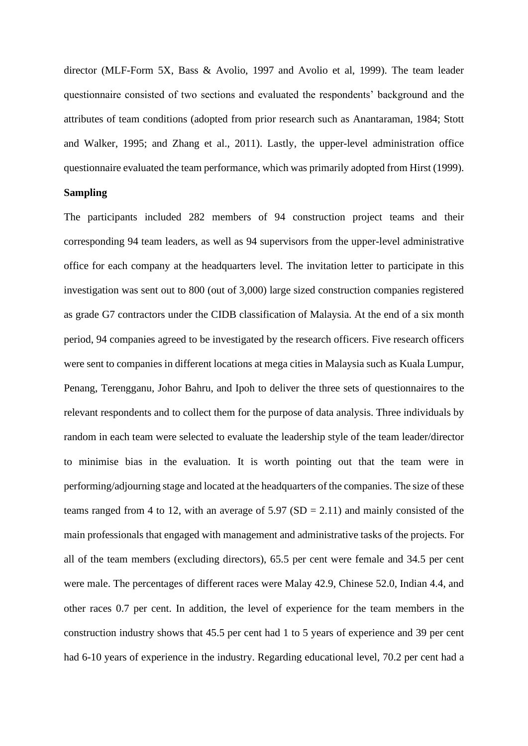director (MLF-Form 5X, Bass & Avolio, 1997 and Avolio et al, 1999). The team leader questionnaire consisted of two sections and evaluated the respondents' background and the attributes of team conditions (adopted from prior research such as Anantaraman, 1984; Stott and Walker, 1995; and Zhang et al., 2011). Lastly, the upper-level administration office questionnaire evaluated the team performance, which was primarily adopted from Hirst (1999).

## **Sampling**

The participants included 282 members of 94 construction project teams and their corresponding 94 team leaders, as well as 94 supervisors from the upper-level administrative office for each company at the headquarters level. The invitation letter to participate in this investigation was sent out to 800 (out of 3,000) large sized construction companies registered as grade G7 contractors under the CIDB classification of Malaysia. At the end of a six month period, 94 companies agreed to be investigated by the research officers. Five research officers were sent to companies in different locations at mega cities in Malaysia such as Kuala Lumpur, Penang, Terengganu, Johor Bahru, and Ipoh to deliver the three sets of questionnaires to the relevant respondents and to collect them for the purpose of data analysis. Three individuals by random in each team were selected to evaluate the leadership style of the team leader/director to minimise bias in the evaluation. It is worth pointing out that the team were in performing/adjourning stage and located at the headquarters of the companies. The size of these teams ranged from 4 to 12, with an average of  $5.97$  (SD = 2.11) and mainly consisted of the main professionals that engaged with management and administrative tasks of the projects. For all of the team members (excluding directors), 65.5 per cent were female and 34.5 per cent were male. The percentages of different races were Malay 42.9, Chinese 52.0, Indian 4.4, and other races 0.7 per cent. In addition, the level of experience for the team members in the construction industry shows that 45.5 per cent had 1 to 5 years of experience and 39 per cent had 6-10 years of experience in the industry. Regarding educational level, 70.2 per cent had a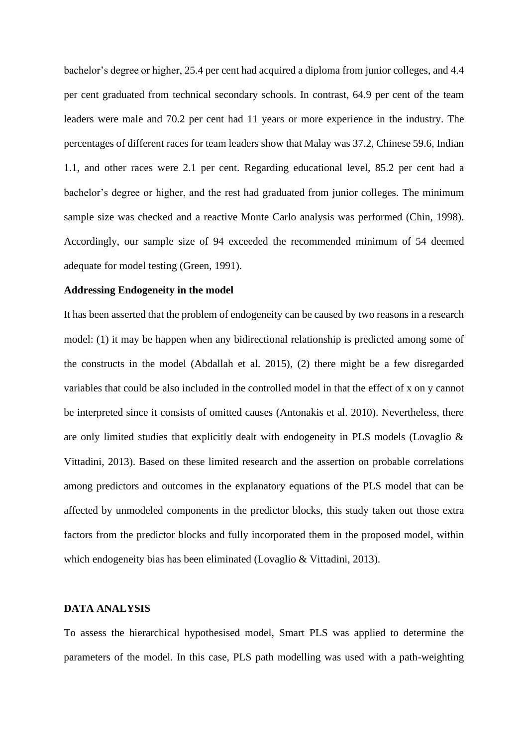bachelor's degree or higher, 25.4 per cent had acquired a diploma from junior colleges, and 4.4 per cent graduated from technical secondary schools. In contrast, 64.9 per cent of the team leaders were male and 70.2 per cent had 11 years or more experience in the industry. The percentages of different races for team leaders show that Malay was 37.2, Chinese 59.6, Indian 1.1, and other races were 2.1 per cent. Regarding educational level, 85.2 per cent had a bachelor's degree or higher, and the rest had graduated from junior colleges. The minimum sample size was checked and a reactive Monte Carlo analysis was performed (Chin, 1998). Accordingly, our sample size of 94 exceeded the recommended minimum of 54 deemed adequate for model testing (Green, 1991).

#### **Addressing Endogeneity in the model**

It has been asserted that the problem of endogeneity can be caused by two reasons in a research model: (1) it may be happen when any bidirectional relationship is predicted among some of the constructs in the model (Abdallah et al. 2015), (2) there might be a few disregarded variables that could be also included in the controlled model in that the effect of x on y cannot be interpreted since it consists of omitted causes (Antonakis et al. 2010). Nevertheless, there are only limited studies that explicitly dealt with endogeneity in PLS models (Lovaglio & Vittadini, 2013). Based on these limited research and the assertion on probable correlations among predictors and outcomes in the explanatory equations of the PLS model that can be affected by unmodeled components in the predictor blocks, this study taken out those extra factors from the predictor blocks and fully incorporated them in the proposed model, within which endogeneity bias has been eliminated (Lovaglio & Vittadini, 2013).

# **DATA ANALYSIS**

To assess the hierarchical hypothesised model, Smart PLS was applied to determine the parameters of the model. In this case, PLS path modelling was used with a path-weighting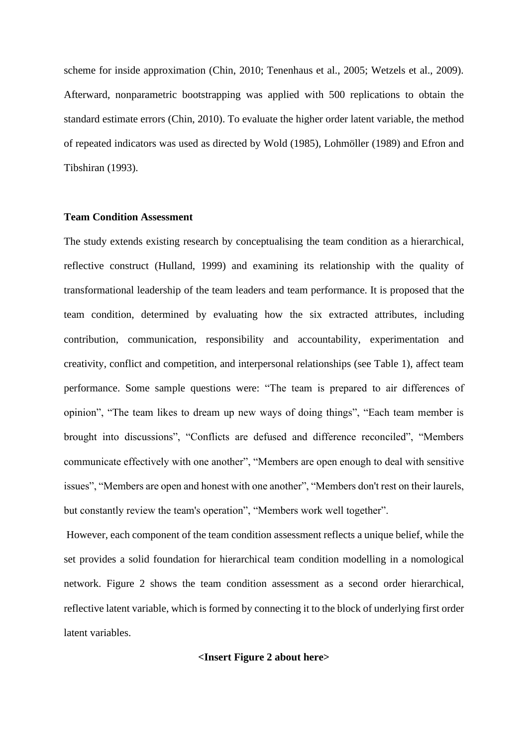scheme for inside approximation (Chin, 2010; Tenenhaus et al., 2005; Wetzels et al., 2009). Afterward, nonparametric bootstrapping was applied with 500 replications to obtain the standard estimate errors (Chin, 2010). To evaluate the higher order latent variable, the method of repeated indicators was used as directed by Wold (1985), Lohmöller (1989) and Efron and Tibshiran (1993).

#### **Team Condition Assessment**

The study extends existing research by conceptualising the team condition as a hierarchical, reflective construct (Hulland, 1999) and examining its relationship with the quality of transformational leadership of the team leaders and team performance. It is proposed that the team condition, determined by evaluating how the six extracted attributes, including contribution, communication, responsibility and accountability, experimentation and creativity, conflict and competition, and interpersonal relationships (see Table 1), affect team performance. Some sample questions were: "The team is prepared to air differences of opinion", "The team likes to dream up new ways of doing things", "Each team member is brought into discussions", "Conflicts are defused and difference reconciled", "Members communicate effectively with one another", "Members are open enough to deal with sensitive issues", "Members are open and honest with one another", "Members don't rest on their laurels, but constantly review the team's operation", "Members work well together".

However, each component of the team condition assessment reflects a unique belief, while the set provides a solid foundation for hierarchical team condition modelling in a nomological network. Figure 2 shows the team condition assessment as a second order hierarchical, reflective latent variable, which is formed by connecting it to the block of underlying first order latent variables.

# **<Insert Figure 2 about here>**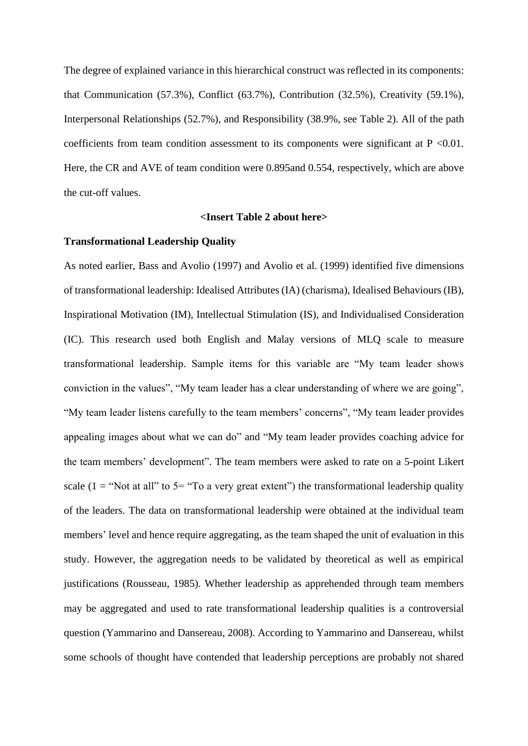The degree of explained variance in this hierarchical construct was reflected in its components: that Communication (57.3%), Conflict (63.7%), Contribution (32.5%), Creativity (59.1%), Interpersonal Relationships (52.7%), and Responsibility (38.9%, see Table 2). All of the path coefficients from team condition assessment to its components were significant at  $P \le 0.01$ . Here, the CR and AVE of team condition were 0.895and 0.554, respectively, which are above the cut-off values.

#### **<Insert Table 2 about here>**

#### **Transformational Leadership Quality**

As noted earlier, Bass and Avolio (1997) and Avolio et al. (1999) identified five dimensions of transformational leadership: Idealised Attributes (IA) (charisma), Idealised Behaviours (IB), Inspirational Motivation (IM), Intellectual Stimulation (IS), and Individualised Consideration (IC). This research used both English and Malay versions of MLQ scale to measure transformational leadership. Sample items for this variable are "My team leader shows conviction in the values", "My team leader has a clear understanding of where we are going", "My team leader listens carefully to the team members' concerns", "My team leader provides appealing images about what we can do" and "My team leader provides coaching advice for the team members' development". The team members were asked to rate on a 5-point Likert scale (1 = "Not at all" to  $5$ = "To a very great extent") the transformational leadership quality of the leaders. The data on transformational leadership were obtained at the individual team members' level and hence require aggregating, as the team shaped the unit of evaluation in this study. However, the aggregation needs to be validated by theoretical as well as empirical justifications (Rousseau, 1985). Whether leadership as apprehended through team members may be aggregated and used to rate transformational leadership qualities is a controversial question (Yammarino and Dansereau, 2008). According to Yammarino and Dansereau, whilst some schools of thought have contended that leadership perceptions are probably not shared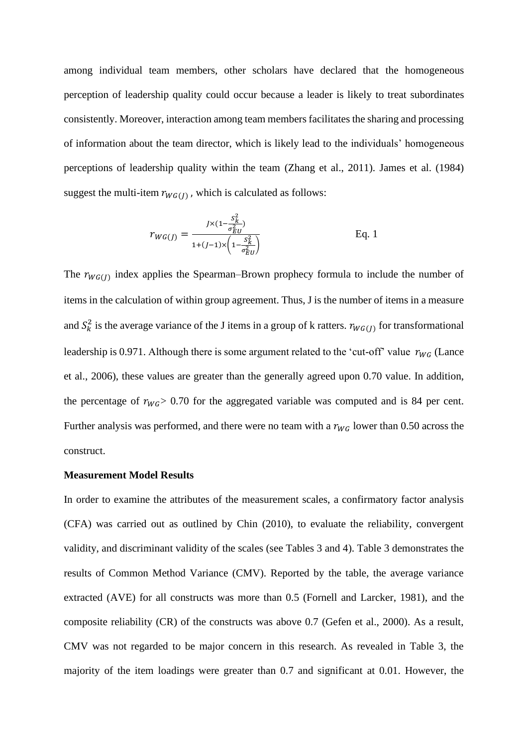among individual team members, other scholars have declared that the homogeneous perception of leadership quality could occur because a leader is likely to treat subordinates consistently. Moreover, interaction among team members facilitates the sharing and processing of information about the team director, which is likely lead to the individuals' homogeneous perceptions of leadership quality within the team (Zhang et al., 2011). James et al. (1984) suggest the multi-item  $r_{WG(J)}$ , which is calculated as follows:

$$
r_{WG(J)} = \frac{J \times (1 - \frac{S_K^2}{\sigma_{EU}^2})}{1 + (J - 1) \times \left(1 - \frac{S_K^2}{\sigma_{EU}^2}\right)}
$$
 Eq. 1

The  $r_{WG(J)}$  index applies the Spearman–Brown prophecy formula to include the number of items in the calculation of within group agreement. Thus, J is the number of items in a measure and  $S_k^2$  is the average variance of the J items in a group of k ratters.  $r_{WG(J)}$  for transformational leadership is 0.971. Although there is some argument related to the 'cut-off' value  $r_{WG}$  (Lance et al., 2006), these values are greater than the generally agreed upon 0.70 value. In addition, the percentage of  $r_{WG} > 0.70$  for the aggregated variable was computed and is 84 per cent. Further analysis was performed, and there were no team with a  $r_{WG}$  lower than 0.50 across the construct.

#### **Measurement Model Results**

In order to examine the attributes of the measurement scales, a confirmatory factor analysis (CFA) was carried out as outlined by Chin (2010), to evaluate the reliability, convergent validity, and discriminant validity of the scales (see Tables 3 and 4). Table 3 demonstrates the results of Common Method Variance (CMV). Reported by the table, the average variance extracted (AVE) for all constructs was more than 0.5 (Fornell and Larcker, 1981), and the composite reliability (CR) of the constructs was above 0.7 (Gefen et al., 2000). As a result, CMV was not regarded to be major concern in this research. As revealed in Table 3, the majority of the item loadings were greater than 0.7 and significant at 0.01. However, the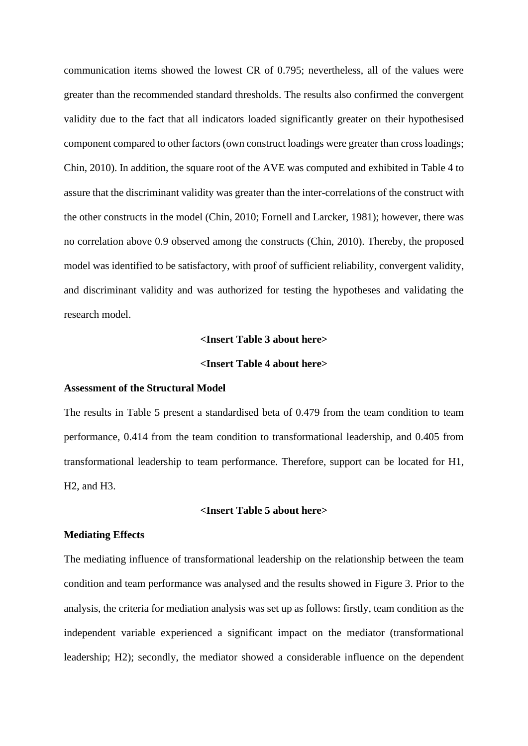communication items showed the lowest CR of 0.795; nevertheless, all of the values were greater than the recommended standard thresholds. The results also confirmed the convergent validity due to the fact that all indicators loaded significantly greater on their hypothesised component compared to other factors (own construct loadings were greater than cross loadings; Chin, 2010). In addition, the square root of the AVE was computed and exhibited in Table 4 to assure that the discriminant validity was greater than the inter-correlations of the construct with the other constructs in the model (Chin, 2010; Fornell and Larcker, 1981); however, there was no correlation above 0.9 observed among the constructs (Chin, 2010). Thereby, the proposed model was identified to be satisfactory, with proof of sufficient reliability, convergent validity, and discriminant validity and was authorized for testing the hypotheses and validating the research model.

#### **<Insert Table 3 about here>**

# **<Insert Table 4 about here>**

# **Assessment of the Structural Model**

The results in Table 5 present a standardised beta of 0.479 from the team condition to team performance, 0.414 from the team condition to transformational leadership, and 0.405 from transformational leadership to team performance. Therefore, support can be located for H1, H2, and H3.

# **<Insert Table 5 about here>**

# **Mediating Effects**

The mediating influence of transformational leadership on the relationship between the team condition and team performance was analysed and the results showed in Figure 3. Prior to the analysis, the criteria for mediation analysis was set up as follows: firstly, team condition as the independent variable experienced a significant impact on the mediator (transformational leadership; H2); secondly, the mediator showed a considerable influence on the dependent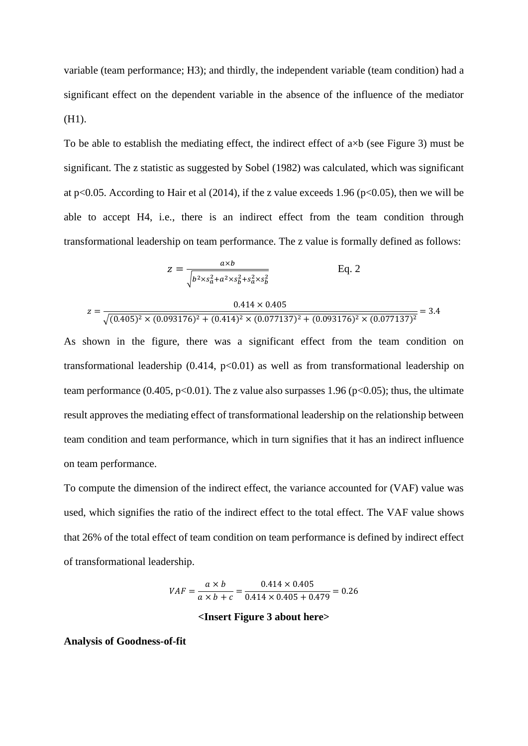variable (team performance; H3); and thirdly, the independent variable (team condition) had a significant effect on the dependent variable in the absence of the influence of the mediator (H1).

To be able to establish the mediating effect, the indirect effect of  $a \times b$  (see Figure 3) must be significant. The z statistic as suggested by Sobel (1982) was calculated, which was significant at p<0.05. According to Hair et al (2014), if the z value exceeds 1.96 (p<0.05), then we will be able to accept H4, i.e., there is an indirect effect from the team condition through transformational leadership on team performance. The z value is formally defined as follows:

$$
z = \frac{a \times b}{\sqrt{b^2 \times s_a^2 + a^2 \times s_b^2 + s_a^2 \times s_b^2}}
$$
 Eq. 2

$$
z = \frac{0.414 \times 0.405}{\sqrt{(0.405)^2 \times (0.093176)^2 + (0.414)^2 \times (0.077137)^2 + (0.093176)^2 \times (0.077137)^2}} = 3.4
$$

As shown in the figure, there was a significant effect from the team condition on transformational leadership  $(0.414, p<0.01)$  as well as from transformational leadership on team performance (0.405,  $p<0.01$ ). The z value also surpasses 1.96 ( $p<0.05$ ); thus, the ultimate result approves the mediating effect of transformational leadership on the relationship between team condition and team performance, which in turn signifies that it has an indirect influence on team performance.

To compute the dimension of the indirect effect, the variance accounted for (VAF) value was used, which signifies the ratio of the indirect effect to the total effect. The VAF value shows that 26% of the total effect of team condition on team performance is defined by indirect effect of transformational leadership.

$$
VAF = \frac{a \times b}{a \times b + c} = \frac{0.414 \times 0.405}{0.414 \times 0.405 + 0.479} = 0.26
$$

#### **<Insert Figure 3 about here>**

**Analysis of Goodness-of-fit**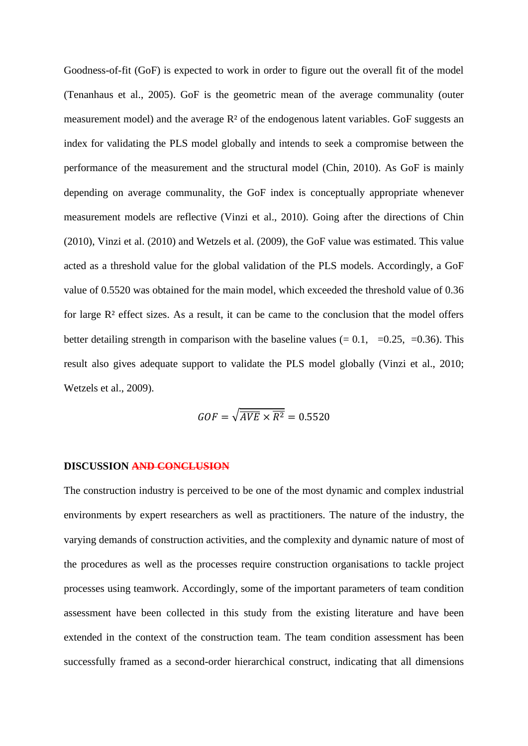Goodness-of-fit (GoF) is expected to work in order to figure out the overall fit of the model (Tenanhaus et al., 2005). GoF is the geometric mean of the average communality (outer measurement model) and the average R² of the endogenous latent variables. GoF suggests an index for validating the PLS model globally and intends to seek a compromise between the performance of the measurement and the structural model (Chin, 2010). As GoF is mainly depending on average communality, the GoF index is conceptually appropriate whenever measurement models are reflective (Vinzi et al., 2010). Going after the directions of Chin (2010), Vinzi et al. (2010) and Wetzels et al. (2009), the GoF value was estimated. This value acted as a threshold value for the global validation of the PLS models. Accordingly, a GoF value of 0.5520 was obtained for the main model, which exceeded the threshold value of 0.36 for large R² effect sizes. As a result, it can be came to the conclusion that the model offers better detailing strength in comparison with the baseline values  $(= 0.1, =0.25, =0.36)$ . This result also gives adequate support to validate the PLS model globally (Vinzi et al., 2010; Wetzels et al., 2009).

$$
GOF = \sqrt{\overline{AVE} \times \overline{R^2}} = 0.5520
$$

#### **DISCUSSION AND CONCLUSION**

The construction industry is perceived to be one of the most dynamic and complex industrial environments by expert researchers as well as practitioners. The nature of the industry, the varying demands of construction activities, and the complexity and dynamic nature of most of the procedures as well as the processes require construction organisations to tackle project processes using teamwork. Accordingly, some of the important parameters of team condition assessment have been collected in this study from the existing literature and have been extended in the context of the construction team. The team condition assessment has been successfully framed as a second-order hierarchical construct, indicating that all dimensions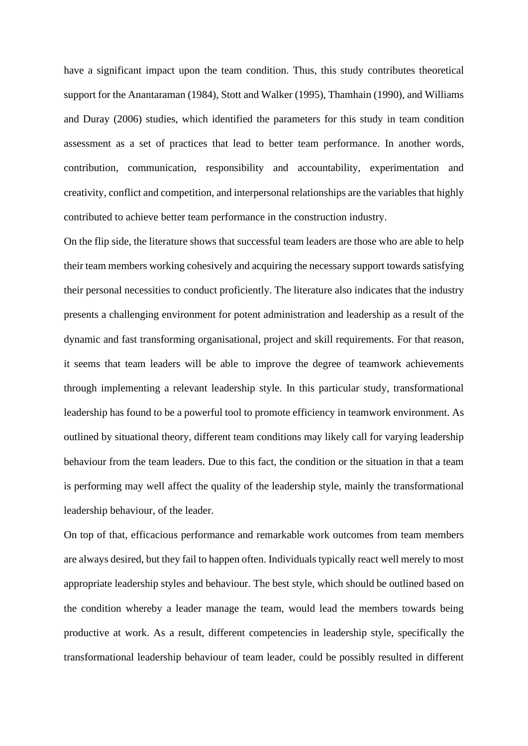have a significant impact upon the team condition. Thus, this study contributes theoretical support for the Anantaraman (1984), Stott and Walker (1995), Thamhain (1990), and Williams and Duray (2006) studies, which identified the parameters for this study in team condition assessment as a set of practices that lead to better team performance. In another words, contribution, communication, responsibility and accountability, experimentation and creativity, conflict and competition, and interpersonal relationships are the variables that highly contributed to achieve better team performance in the construction industry.

On the flip side, the literature shows that successful team leaders are those who are able to help their team members working cohesively and acquiring the necessary support towards satisfying their personal necessities to conduct proficiently. The literature also indicates that the industry presents a challenging environment for potent administration and leadership as a result of the dynamic and fast transforming organisational, project and skill requirements. For that reason, it seems that team leaders will be able to improve the degree of teamwork achievements through implementing a relevant leadership style. In this particular study, transformational leadership has found to be a powerful tool to promote efficiency in teamwork environment. As outlined by situational theory, different team conditions may likely call for varying leadership behaviour from the team leaders. Due to this fact, the condition or the situation in that a team is performing may well affect the quality of the leadership style, mainly the transformational leadership behaviour, of the leader.

On top of that, efficacious performance and remarkable work outcomes from team members are always desired, but they fail to happen often. Individuals typically react well merely to most appropriate leadership styles and behaviour. The best style, which should be outlined based on the condition whereby a leader manage the team, would lead the members towards being productive at work. As a result, different competencies in leadership style, specifically the transformational leadership behaviour of team leader, could be possibly resulted in different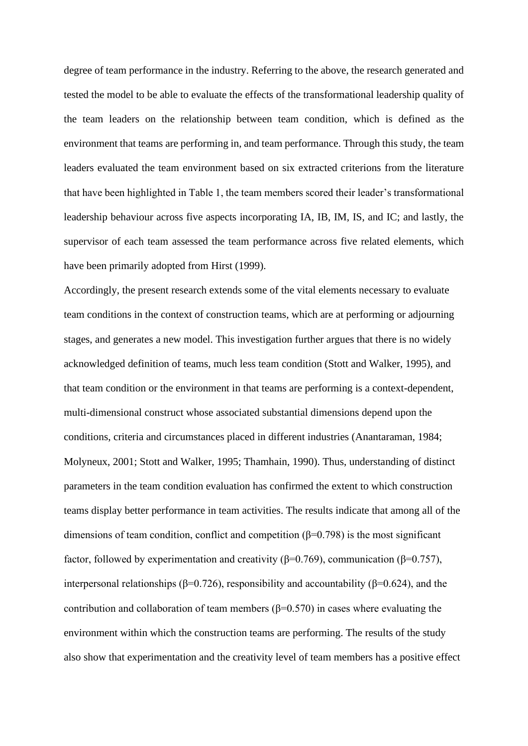degree of team performance in the industry. Referring to the above, the research generated and tested the model to be able to evaluate the effects of the transformational leadership quality of the team leaders on the relationship between team condition, which is defined as the environment that teams are performing in, and team performance. Through this study, the team leaders evaluated the team environment based on six extracted criterions from the literature that have been highlighted in Table 1, the team members scored their leader's transformational leadership behaviour across five aspects incorporating IA, IB, IM, IS, and IC; and lastly, the supervisor of each team assessed the team performance across five related elements, which have been primarily adopted from Hirst (1999).

Accordingly, the present research extends some of the vital elements necessary to evaluate team conditions in the context of construction teams, which are at performing or adjourning stages, and generates a new model. This investigation further argues that there is no widely acknowledged definition of teams, much less team condition (Stott and Walker, 1995), and that team condition or the environment in that teams are performing is a context-dependent, multi-dimensional construct whose associated substantial dimensions depend upon the conditions, criteria and circumstances placed in different industries (Anantaraman, 1984; Molyneux, 2001; Stott and Walker, 1995; Thamhain, 1990). Thus, understanding of distinct parameters in the team condition evaluation has confirmed the extent to which construction teams display better performance in team activities. The results indicate that among all of the dimensions of team condition, conflict and competition ( $\beta$ =0.798) is the most significant factor, followed by experimentation and creativity (β=0.769), communication (β=0.757), interpersonal relationships ( $β=0.726$ ), responsibility and accountability ( $β=0.624$ ), and the contribution and collaboration of team members ( $\beta$ =0.570) in cases where evaluating the environment within which the construction teams are performing. The results of the study also show that experimentation and the creativity level of team members has a positive effect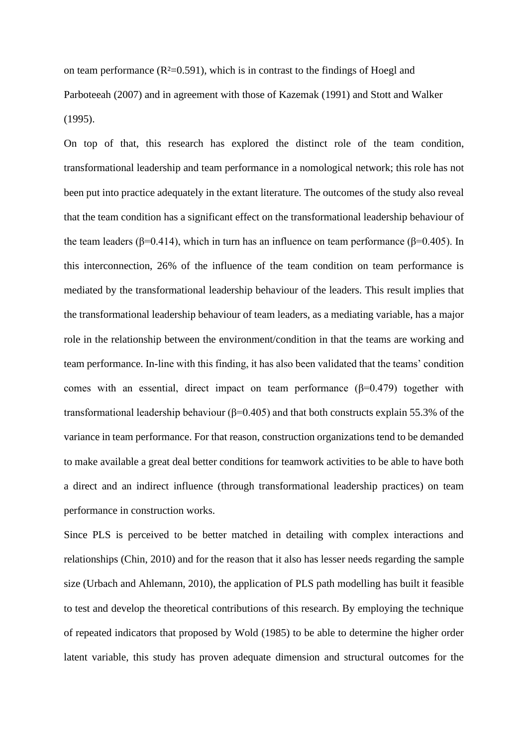on team performance  $(R<sup>2</sup>=0.591)$ , which is in contrast to the findings of Hoegl and Parboteeah (2007) and in agreement with those of Kazemak (1991) and Stott and Walker (1995).

On top of that, this research has explored the distinct role of the team condition, transformational leadership and team performance in a nomological network; this role has not been put into practice adequately in the extant literature. The outcomes of the study also reveal that the team condition has a significant effect on the transformational leadership behaviour of the team leaders ( $\beta$ =0.414), which in turn has an influence on team performance ( $\beta$ =0.405). In this interconnection, 26% of the influence of the team condition on team performance is mediated by the transformational leadership behaviour of the leaders. This result implies that the transformational leadership behaviour of team leaders, as a mediating variable, has a major role in the relationship between the environment/condition in that the teams are working and team performance. In-line with this finding, it has also been validated that the teams' condition comes with an essential, direct impact on team performance  $(\beta=0.479)$  together with transformational leadership behaviour ( $β=0.405$ ) and that both constructs explain 55.3% of the variance in team performance. For that reason, construction organizations tend to be demanded to make available a great deal better conditions for teamwork activities to be able to have both a direct and an indirect influence (through transformational leadership practices) on team performance in construction works.

Since PLS is perceived to be better matched in detailing with complex interactions and relationships (Chin, 2010) and for the reason that it also has lesser needs regarding the sample size (Urbach and Ahlemann, 2010), the application of PLS path modelling has built it feasible to test and develop the theoretical contributions of this research. By employing the technique of repeated indicators that proposed by Wold (1985) to be able to determine the higher order latent variable, this study has proven adequate dimension and structural outcomes for the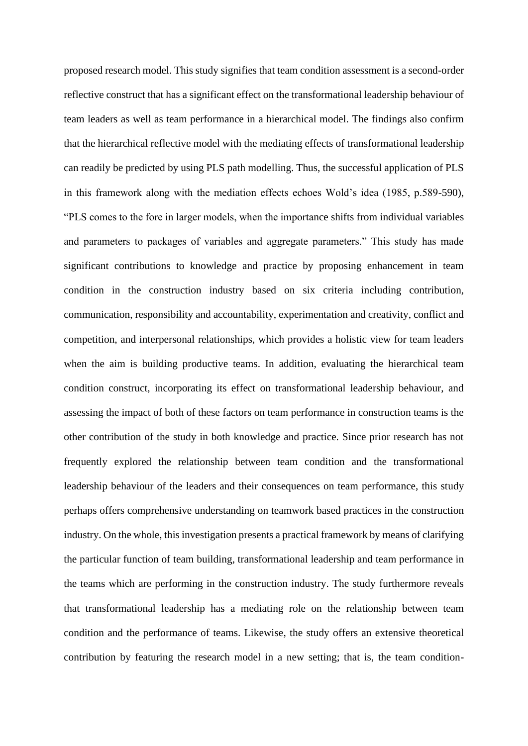proposed research model. This study signifies that team condition assessment is a second-order reflective construct that has a significant effect on the transformational leadership behaviour of team leaders as well as team performance in a hierarchical model. The findings also confirm that the hierarchical reflective model with the mediating effects of transformational leadership can readily be predicted by using PLS path modelling. Thus, the successful application of PLS in this framework along with the mediation effects echoes Wold's idea (1985, p.589-590), "PLS comes to the fore in larger models, when the importance shifts from individual variables and parameters to packages of variables and aggregate parameters." This study has made significant contributions to knowledge and practice by proposing enhancement in team condition in the construction industry based on six criteria including contribution, communication, responsibility and accountability, experimentation and creativity, conflict and competition, and interpersonal relationships, which provides a holistic view for team leaders when the aim is building productive teams. In addition, evaluating the hierarchical team condition construct, incorporating its effect on transformational leadership behaviour, and assessing the impact of both of these factors on team performance in construction teams is the other contribution of the study in both knowledge and practice. Since prior research has not frequently explored the relationship between team condition and the transformational leadership behaviour of the leaders and their consequences on team performance, this study perhaps offers comprehensive understanding on teamwork based practices in the construction industry. On the whole, this investigation presents a practical framework by means of clarifying the particular function of team building, transformational leadership and team performance in the teams which are performing in the construction industry. The study furthermore reveals that transformational leadership has a mediating role on the relationship between team condition and the performance of teams. Likewise, the study offers an extensive theoretical contribution by featuring the research model in a new setting; that is, the team condition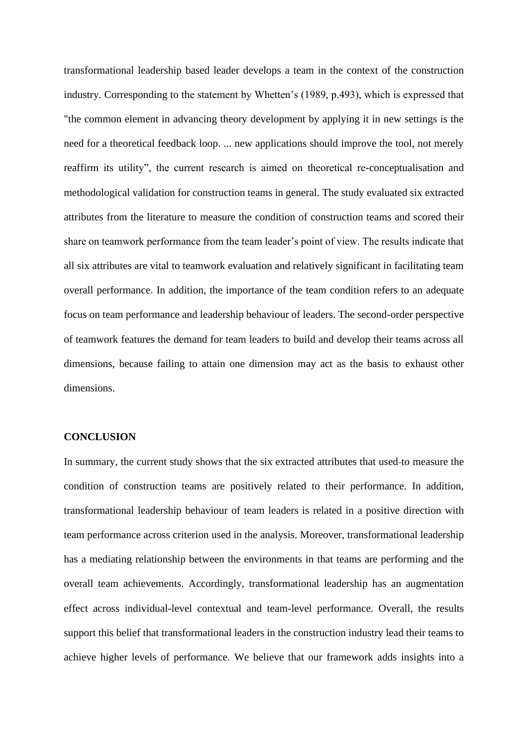transformational leadership based leader develops a team in the context of the construction industry. Corresponding to the statement by Whetten's (1989, p.493), which is expressed that "the common element in advancing theory development by applying it in new settings is the need for a theoretical feedback loop. ... new applications should improve the tool, not merely reaffirm its utility", the current research is aimed on theoretical re-conceptualisation and methodological validation for construction teams in general. The study evaluated six extracted attributes from the literature to measure the condition of construction teams and scored their share on teamwork performance from the team leader's point of view. The results indicate that all six attributes are vital to teamwork evaluation and relatively significant in facilitating team overall performance. In addition, the importance of the team condition refers to an adequate focus on team performance and leadership behaviour of leaders. The second-order perspective of teamwork features the demand for team leaders to build and develop their teams across all dimensions, because failing to attain one dimension may act as the basis to exhaust other dimensions.

#### **CONCLUSION**

In summary, the current study shows that the six extracted attributes that used to measure the condition of construction teams are positively related to their performance. In addition, transformational leadership behaviour of team leaders is related in a positive direction with team performance across criterion used in the analysis. Moreover, transformational leadership has a mediating relationship between the environments in that teams are performing and the overall team achievements. Accordingly, transformational leadership has an augmentation effect across individual-level contextual and team-level performance. Overall, the results support this belief that transformational leaders in the construction industry lead their teams to achieve higher levels of performance. We believe that our framework adds insights into a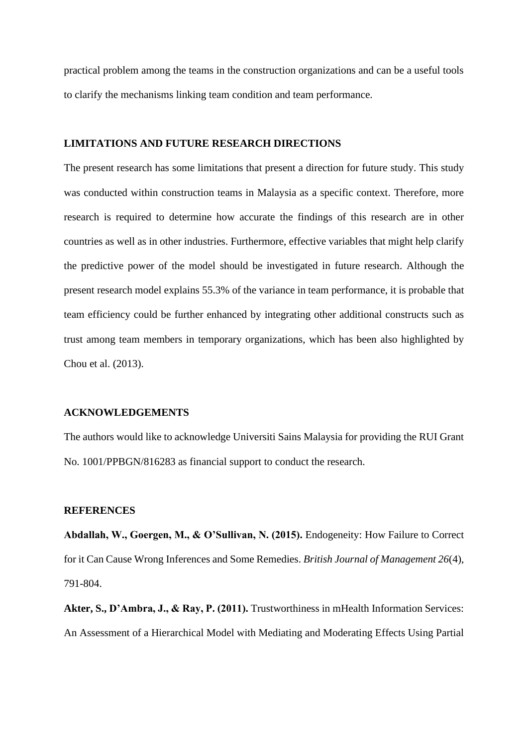practical problem among the teams in the construction organizations and can be a useful tools to clarify the mechanisms linking team condition and team performance.

# **LIMITATIONS AND FUTURE RESEARCH DIRECTIONS**

The present research has some limitations that present a direction for future study. This study was conducted within construction teams in Malaysia as a specific context. Therefore, more research is required to determine how accurate the findings of this research are in other countries as well as in other industries. Furthermore, effective variables that might help clarify the predictive power of the model should be investigated in future research. Although the present research model explains 55.3% of the variance in team performance, it is probable that team efficiency could be further enhanced by integrating other additional constructs such as trust among team members in temporary organizations, which has been also highlighted by Chou et al. (2013).

# **ACKNOWLEDGEMENTS**

The authors would like to acknowledge Universiti Sains Malaysia for providing the RUI Grant No. 1001/PPBGN/816283 as financial support to conduct the research.

# **REFERENCES**

**Abdallah, W., Goergen, M., & O'Sullivan, N. (2015).** Endogeneity: How Failure to Correct for it Can Cause Wrong Inferences and Some Remedies. *British Journal of Management 26*(4), 791-804.

**Akter, S., D'Ambra, J., & Ray, P. (2011).** Trustworthiness in mHealth Information Services: An Assessment of a Hierarchical Model with Mediating and Moderating Effects Using Partial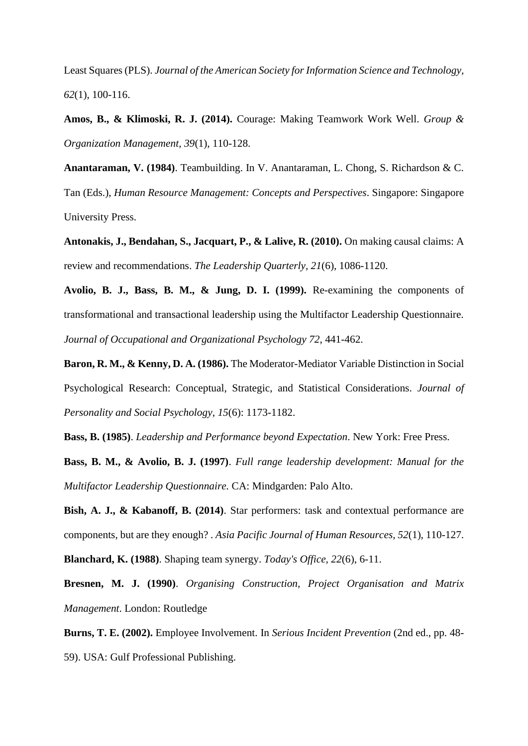Least Squares (PLS). *Journal of the American Society for Information Science and Technology, 62*(1), 100-116.

**Amos, B., & Klimoski, R. J. (2014).** Courage: Making Teamwork Work Well. *Group & Organization Management, 39*(1), 110-128.

**Anantaraman, V. (1984)**. Teambuilding. In V. Anantaraman, L. Chong, S. Richardson & C. Tan (Eds.), *Human Resource Management: Concepts and Perspectives*. Singapore: Singapore University Press.

**Antonakis, J., Bendahan, S., Jacquart, P., & Lalive, R. (2010).** On making causal claims: A review and recommendations. *The Leadership Quarterly, 21*(6), 1086-1120.

**Avolio, B. J., Bass, B. M., & Jung, D. I. (1999).** Re-examining the components of transformational and transactional leadership using the Multifactor Leadership Questionnaire. *Journal of Occupational and Organizational Psychology 72*, 441-462.

**Baron, R. M., & Kenny, D. A. (1986).** The Moderator-Mediator Variable Distinction in Social Psychological Research: Conceptual, Strategic, and Statistical Considerations. *Journal of Personality and Social Psychology*, *15*(6): 1173-1182.

**Bass, B. (1985)**. *Leadership and Performance beyond Expectation*. New York: Free Press.

**Bass, B. M., & Avolio, B. J. (1997)**. *Full range leadership development: Manual for the Multifactor Leadership Questionnaire.* CA: Mindgarden: Palo Alto.

**Bish, A. J., & Kabanoff, B. (2014)**. Star performers: task and contextual performance are components, but are they enough? . *Asia Pacific Journal of Human Resources, 52*(1), 110-127. **Blanchard, K. (1988)**. Shaping team synergy. *Today's Office, 22*(6), 6-11.

**Bresnen, M. J. (1990)**. *Organising Construction, Project Organisation and Matrix Management*. London: Routledge

**Burns, T. E. (2002).** Employee Involvement. In *Serious Incident Prevention* (2nd ed., pp. 48- 59). USA: Gulf Professional Publishing.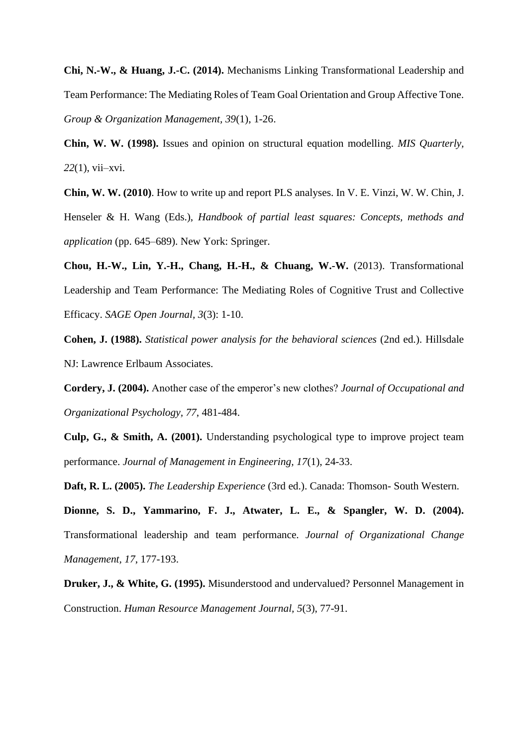**Chi, N.-W., & Huang, J.-C. (2014).** Mechanisms Linking Transformational Leadership and Team Performance: The Mediating Roles of Team Goal Orientation and Group Affective Tone. *Group & Organization Management, 39*(1), 1-26.

**Chin, W. W. (1998).** Issues and opinion on structural equation modelling. *MIS Quarterly, 22*(1), vii–xvi.

**Chin, W. W. (2010)**. How to write up and report PLS analyses. In V. E. Vinzi, W. W. Chin, J. Henseler & H. Wang (Eds.), *Handbook of partial least squares: Concepts, methods and application* (pp. 645–689). New York: Springer.

**Chou, H.-W., Lin, Y.-H., Chang, H.-H., & Chuang, W.-W.** (2013). Transformational Leadership and Team Performance: The Mediating Roles of Cognitive Trust and Collective Efficacy. *SAGE Open Journal, 3*(3): 1-10.

**Cohen, J. (1988).** *Statistical power analysis for the behavioral sciences* (2nd ed.). Hillsdale NJ: Lawrence Erlbaum Associates.

**Cordery, J. (2004).** Another case of the emperor's new clothes? *Journal of Occupational and Organizational Psychology, 77*, 481-484.

**Culp, G., & Smith, A. (2001).** Understanding psychological type to improve project team performance. *Journal of Management in Engineering, 17*(1), 24-33.

**Daft, R. L. (2005).** *The Leadership Experience* (3rd ed.). Canada: Thomson- South Western.

**Dionne, S. D., Yammarino, F. J., Atwater, L. E., & Spangler, W. D. (2004).** Transformational leadership and team performance. *Journal of Organizational Change Management, 17*, 177-193.

**Druker, J., & White, G. (1995).** Misunderstood and undervalued? Personnel Management in Construction. *Human Resource Management Journal, 5*(3), 77-91.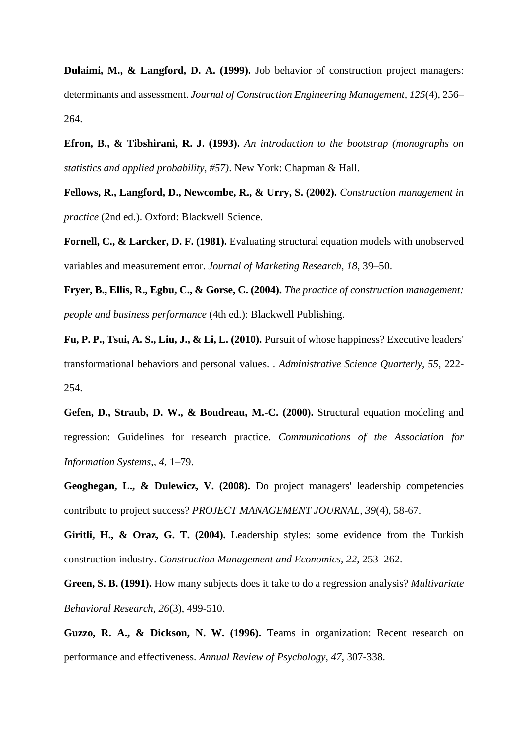**Dulaimi, M., & Langford, D. A. (1999).** Job behavior of construction project managers: determinants and assessment. *Journal of Construction Engineering Management, 125*(4), 256– 264.

**Efron, B., & Tibshirani, R. J. (1993).** *An introduction to the bootstrap (monographs on statistics and applied probability, #57)*. New York: Chapman & Hall.

**Fellows, R., Langford, D., Newcombe, R., & Urry, S. (2002).** *Construction management in practice* (2nd ed.). Oxford: Blackwell Science.

**Fornell, C., & Larcker, D. F. (1981).** Evaluating structural equation models with unobserved variables and measurement error. *Journal of Marketing Research, 18*, 39–50.

**Fryer, B., Ellis, R., Egbu, C., & Gorse, C. (2004).** *The practice of construction management: people and business performance* (4th ed.): Blackwell Publishing.

**Fu, P. P., Tsui, A. S., Liu, J., & Li, L. (2010).** Pursuit of whose happiness? Executive leaders' transformational behaviors and personal values. . *Administrative Science Quarterly, 55*, 222- 254.

**Gefen, D., Straub, D. W., & Boudreau, M.-C. (2000).** Structural equation modeling and regression: Guidelines for research practice. *Communications of the Association for Information Systems,, 4*, 1–79.

**Geoghegan, L., & Dulewicz, V. (2008).** Do project managers' leadership competencies contribute to project success? *PROJECT MANAGEMENT JOURNAL, 39*(4), 58-67.

**Giritli, H., & Oraz, G. T. (2004).** Leadership styles: some evidence from the Turkish construction industry. *Construction Management and Economics, 22*, 253–262.

**Green, S. B. (1991).** How many subjects does it take to do a regression analysis? *Multivariate Behavioral Research, 26*(3), 499-510.

**Guzzo, R. A., & Dickson, N. W. (1996).** Teams in organization: Recent research on performance and effectiveness. *Annual Review of Psychology, 47*, 307-338.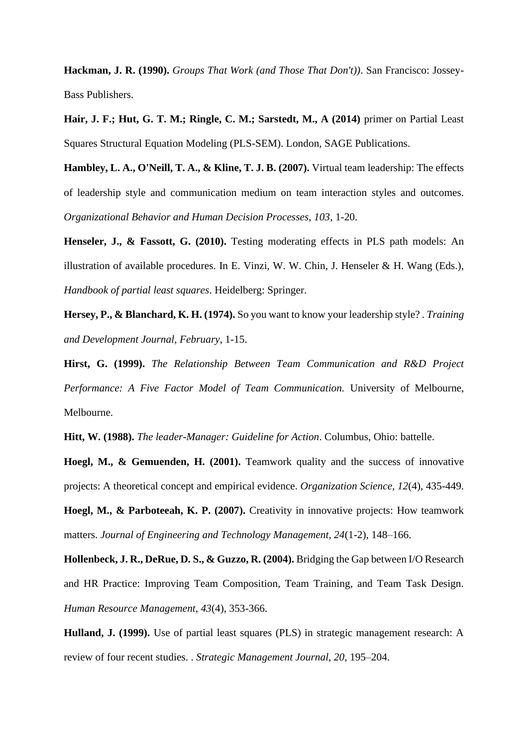**Hackman, J. R. (1990).** *Groups That Work (and Those That Don't))*. San Francisco: Jossey-Bass Publishers.

**Hair, J. F.; Hut, G. T. M.; Ringle, C. M.; Sarstedt, M., A (2014)** primer on Partial Least Squares Structural Equation Modeling (PLS-SEM). London, SAGE Publications.

**Hambley, L. A., O'Neill, T. A., & Kline, T. J. B. (2007).** Virtual team leadership: The effects of leadership style and communication medium on team interaction styles and outcomes. *Organizational Behavior and Human Decision Processes, 103*, 1-20.

**Henseler, J., & Fassott, G. (2010).** Testing moderating effects in PLS path models: An illustration of available procedures. In E. Vinzi, W. W. Chin, J. Henseler & H. Wang (Eds.), *Handbook of partial least squares*. Heidelberg: Springer.

**Hersey, P., & Blanchard, K. H. (1974).** So you want to know your leadership style? . *Training and Development Journal, February*, 1-15.

**Hirst, G. (1999).** *The Relationship Between Team Communication and R&D Project Performance: A Five Factor Model of Team Communication.* University of Melbourne, Melbourne.

**Hitt, W. (1988).** *The leader-Manager: Guideline for Action*. Columbus, Ohio: battelle.

**Hoegl, M., & Gemuenden, H. (2001).** Teamwork quality and the success of innovative projects: A theoretical concept and empirical evidence. *Organization Science, 12*(4), 435-449.

**Hoegl, M., & Parboteeah, K. P. (2007).** Creativity in innovative projects: How teamwork matters. *Journal of Engineering and Technology Management, 24*(1-2), 148–166.

**Hollenbeck, J. R., DeRue, D. S., & Guzzo, R. (2004).** Bridging the Gap between I/O Research and HR Practice: Improving Team Composition, Team Training, and Team Task Design. *Human Resource Management, 43*(4), 353-366.

**Hulland, J. (1999).** Use of partial least squares (PLS) in strategic management research: A review of four recent studies. . *Strategic Management Journal, 20*, 195–204.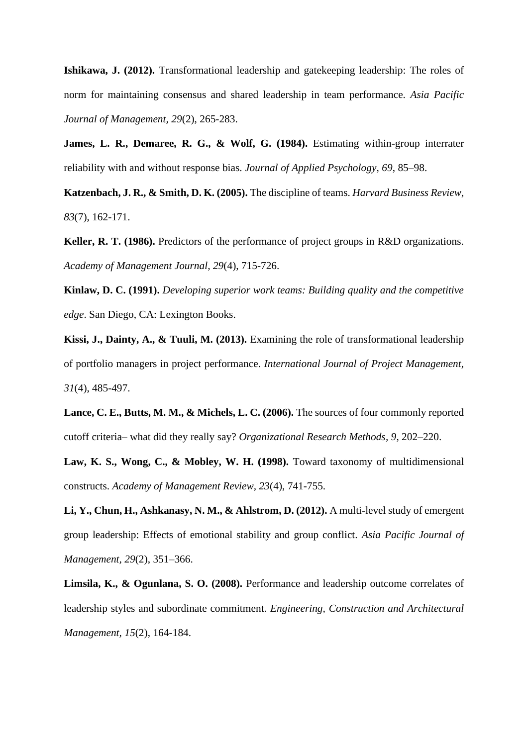**Ishikawa, J. (2012).** Transformational leadership and gatekeeping leadership: The roles of norm for maintaining consensus and shared leadership in team performance. *Asia Pacific Journal of Management, 29*(2), 265-283.

**James, L. R., Demaree, R. G., & Wolf, G. (1984).** Estimating within-group interrater reliability with and without response bias. *Journal of Applied Psychology, 69*, 85–98.

**Katzenbach, J. R., & Smith, D. K. (2005).** The discipline of teams. *Harvard Business Review, 83*(7), 162-171.

**Keller, R. T. (1986).** Predictors of the performance of project groups in R&D organizations. *Academy of Management Journal, 29*(4), 715-726.

**Kinlaw, D. C. (1991).** *Developing superior work teams: Building quality and the competitive edge*. San Diego, CA: Lexington Books.

**Kissi, J., Dainty, A., & Tuuli, M. (2013).** Examining the role of transformational leadership of portfolio managers in project performance. *International Journal of Project Management, 31*(4), 485-497.

**Lance, C. E., Butts, M. M., & Michels, L. C. (2006).** The sources of four commonly reported cutoff criteria– what did they really say? *Organizational Research Methods, 9*, 202–220.

**Law, K. S., Wong, C., & Mobley, W. H. (1998).** Toward taxonomy of multidimensional constructs. *Academy of Management Review, 23*(4), 741-755.

**Li, Y., Chun, H., Ashkanasy, N. M., & Ahlstrom, D. (2012).** A multi-level study of emergent group leadership: Effects of emotional stability and group conflict. *Asia Pacific Journal of Management, 29*(2), 351–366.

**Limsila, K., & Ogunlana, S. O. (2008).** Performance and leadership outcome correlates of leadership styles and subordinate commitment. *Engineering, Construction and Architectural Management, 15*(2), 164-184.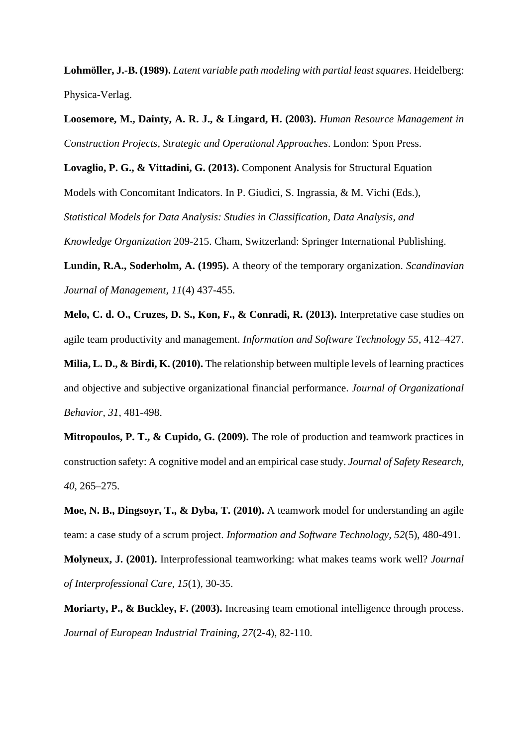**Lohmöller, J.-B. (1989).** *Latent variable path modeling with partial least squares*. Heidelberg: Physica-Verlag.

**Loosemore, M., Dainty, A. R. J., & Lingard, H. (2003).** *Human Resource Management in Construction Projects, Strategic and Operational Approaches*. London: Spon Press.

**Lovaglio, P. G., & Vittadini, G. (2013).** Component Analysis for Structural Equation

Models with Concomitant Indicators. In P. Giudici, S. Ingrassia, & M. Vichi (Eds.),

*Statistical Models for Data Analysis: Studies in Classification, Data Analysis, and* 

*Knowledge Organization* 209-215. Cham, Switzerland: Springer International Publishing.

**Lundin, R.A., Soderholm, A. (1995).** A theory of the temporary organization. *Scandinavian Journal of Management, 11*(4) 437-455.

**Melo, C. d. O., Cruzes, D. S., Kon, F., & Conradi, R. (2013).** Interpretative case studies on agile team productivity and management. *Information and Software Technology 55*, 412–427.

**Milia, L. D., & Birdi, K. (2010).** The relationship between multiple levels of learning practices and objective and subjective organizational financial performance. *Journal of Organizational Behavior, 31*, 481-498.

**Mitropoulos, P. T., & Cupido, G. (2009).** The role of production and teamwork practices in construction safety: A cognitive model and an empirical case study. *Journal of Safety Research, 40*, 265–275.

**Moe, N. B., Dingsoyr, T., & Dyba, T. (2010).** A teamwork model for understanding an agile team: a case study of a scrum project. *Information and Software Technology, 52*(5), 480-491.

**Molyneux, J. (2001).** Interprofessional teamworking: what makes teams work well? *Journal of Interprofessional Care, 15*(1), 30-35.

**Moriarty, P., & Buckley, F. (2003).** Increasing team emotional intelligence through process. *Journal of European Industrial Training, 27*(2-4), 82-110.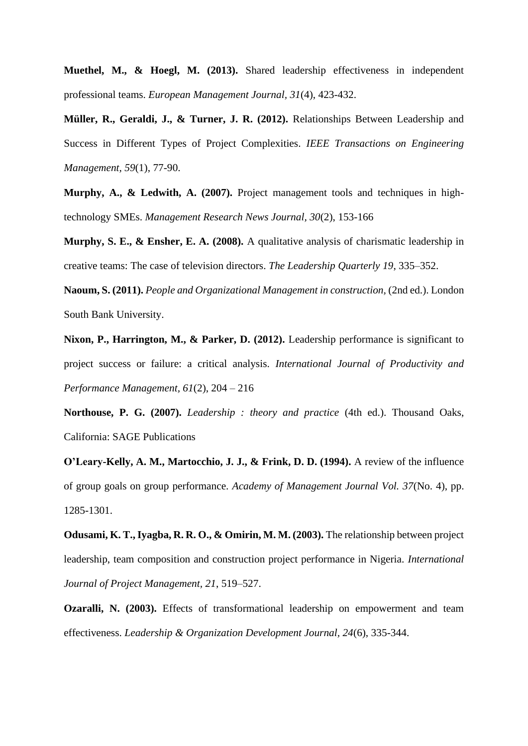**Muethel, M., & Hoegl, M. (2013).** Shared leadership effectiveness in independent professional teams. *European Management Journal, 31*(4), 423-432.

**Müller, R., Geraldi, J., & Turner, J. R. (2012).** Relationships Between Leadership and Success in Different Types of Project Complexities. *IEEE Transactions on Engineering Management, 59*(1), 77-90.

**Murphy, A., & Ledwith, A. (2007).** Project management tools and techniques in hightechnology SMEs. *Management Research News Journal, 30*(2), 153-166

**Murphy, S. E., & Ensher, E. A. (2008).** A qualitative analysis of charismatic leadership in creative teams: The case of television directors. *The Leadership Quarterly 19*, 335–352.

**Naoum, S. (2011).** *People and Organizational Management in construction,* (2nd ed.). London South Bank University.

**Nixon, P., Harrington, M., & Parker, D. (2012).** Leadership performance is significant to project success or failure: a critical analysis. *International Journal of Productivity and Performance Management, 61*(2), 204 – 216

**Northouse, P. G. (2007).** *Leadership : theory and practice* (4th ed.). Thousand Oaks, California: SAGE Publications

**O'Leary-Kelly, A. M., Martocchio, J. J., & Frink, D. D. (1994).** A review of the influence of group goals on group performance. *Academy of Management Journal Vol. 37*(No. 4), pp. 1285-1301.

**Odusami, K. T., Iyagba, R. R. O., & Omirin, M. M. (2003).** The relationship between project leadership, team composition and construction project performance in Nigeria. *International Journal of Project Management, 21*, 519–527.

**Ozaralli, N. (2003).** Effects of transformational leadership on empowerment and team effectiveness. *Leadership & Organization Development Journal, 24*(6), 335-344.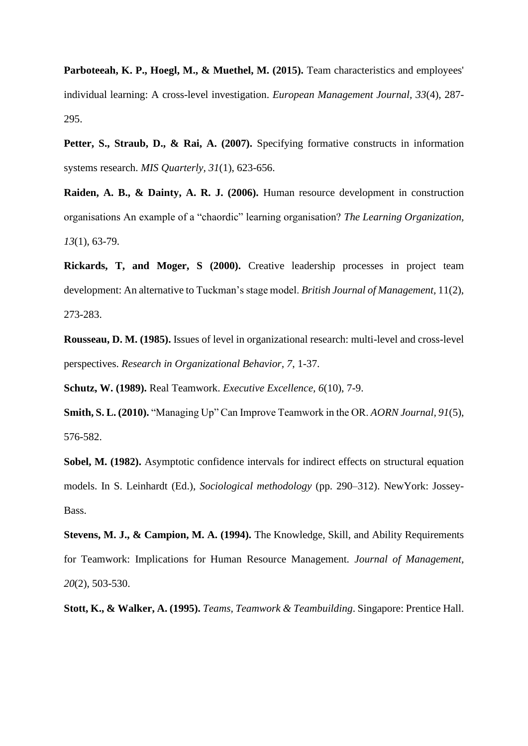Parboteeah, K. P., Hoegl, M., & Muethel, M. (2015). Team characteristics and employees' individual learning: A cross-level investigation. *European Management Journal, 33*(4), 287- 295.

Petter, S., Straub, D., & Rai, A. (2007). Specifying formative constructs in information systems research. *MIS Quarterly, 31*(1), 623-656.

**Raiden, A. B., & Dainty, A. R. J. (2006).** Human resource development in construction organisations An example of a "chaordic" learning organisation? *The Learning Organization, 13*(1), 63-79.

**Rickards, T, and Moger, S (2000).** Creative leadership processes in project team development: An alternative to Tuckman's stage model. *British Journal of Management,* 11(2), 273-283.

**Rousseau, D. M. (1985).** Issues of level in organizational research: multi-level and cross-level perspectives. *Research in Organizational Behavior, 7*, 1-37.

**Schutz, W. (1989).** Real Teamwork. *Executive Excellence, 6*(10), 7-9.

**Smith, S. L. (2010).** "Managing Up" Can Improve Teamwork in the OR. *AORN Journal, 91*(5), 576-582.

**Sobel, M. (1982).** Asymptotic confidence intervals for indirect effects on structural equation models. In S. Leinhardt (Ed.), *Sociological methodology* (pp. 290–312). NewYork: Jossey-Bass.

**Stevens, M. J., & Campion, M. A. (1994).** The Knowledge, Skill, and Ability Requirements for Teamwork: Implications for Human Resource Management. *Journal of Management, 20*(2), 503-530.

**Stott, K., & Walker, A. (1995).** *Teams, Teamwork & Teambuilding*. Singapore: Prentice Hall.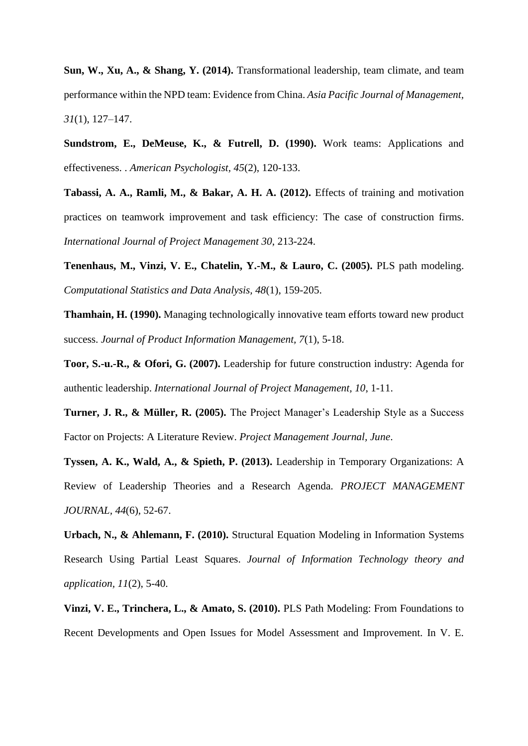**Sun, W., Xu, A., & Shang, Y. (2014).** Transformational leadership, team climate, and team performance within the NPD team: Evidence from China. *Asia Pacific Journal of Management, 31*(1), 127–147.

**Sundstrom, E., DeMeuse, K., & Futrell, D. (1990).** Work teams: Applications and effectiveness. . *American Psychologist, 45*(2), 120-133.

**Tabassi, A. A., Ramli, M., & Bakar, A. H. A. (2012).** Effects of training and motivation practices on teamwork improvement and task efficiency: The case of construction firms. *International Journal of Project Management 30*, 213-224.

**Tenenhaus, M., Vinzi, V. E., Chatelin, Y.-M., & Lauro, C. (2005).** PLS path modeling. *Computational Statistics and Data Analysis, 48*(1), 159-205.

**Thamhain, H. (1990).** Managing technologically innovative team efforts toward new product success. *Journal of Product Information Management, 7*(1), 5-18.

**Toor, S.-u.-R., & Ofori, G. (2007).** Leadership for future construction industry: Agenda for authentic leadership. *International Journal of Project Management, 10*, 1-11.

**Turner, J. R., & Müller, R. (2005).** The Project Manager's Leadership Style as a Success Factor on Projects: A Literature Review. *Project Management Journal, June*.

**Tyssen, A. K., Wald, A., & Spieth, P. (2013).** Leadership in Temporary Organizations: A Review of Leadership Theories and a Research Agenda. *PROJECT MANAGEMENT JOURNAL, 44*(6), 52-67.

**Urbach, N., & Ahlemann, F. (2010).** Structural Equation Modeling in Information Systems Research Using Partial Least Squares. *Journal of Information Technology theory and application, 11*(2), 5-40.

**Vinzi, V. E., Trinchera, L., & Amato, S. (2010).** PLS Path Modeling: From Foundations to Recent Developments and Open Issues for Model Assessment and Improvement. In V. E.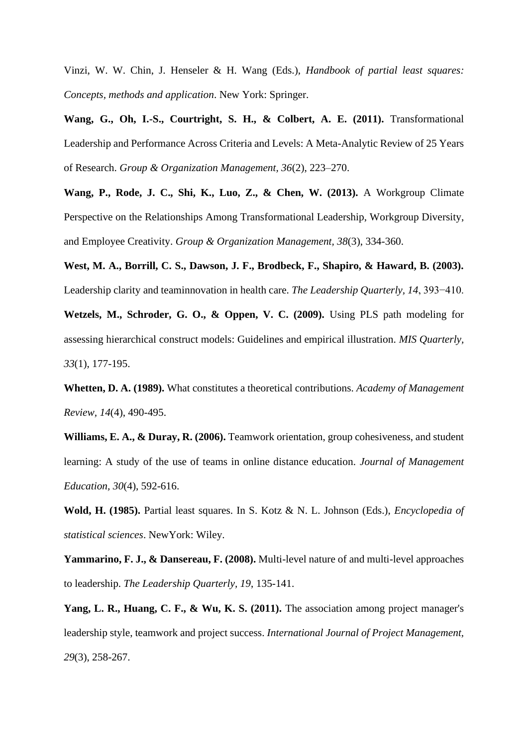Vinzi, W. W. Chin, J. Henseler & H. Wang (Eds.), *Handbook of partial least squares: Concepts, methods and application*. New York: Springer.

**Wang, G., Oh, I.-S., Courtright, S. H., & Colbert, A. E. (2011).** Transformational Leadership and Performance Across Criteria and Levels: A Meta-Analytic Review of 25 Years of Research. *Group & Organization Management, 36*(2), 223–270.

**Wang, P., Rode, J. C., Shi, K., Luo, Z., & Chen, W. (2013).** A Workgroup Climate Perspective on the Relationships Among Transformational Leadership, Workgroup Diversity, and Employee Creativity. *Group & Organization Management, 38*(3), 334-360.

**West, M. A., Borrill, C. S., Dawson, J. F., Brodbeck, F., Shapiro, & Haward, B. (2003).** Leadership clarity and teaminnovation in health care. *The Leadership Quarterly, 14*, 393−410.

**Wetzels, M., Schroder, G. O., & Oppen, V. C. (2009).** Using PLS path modeling for assessing hierarchical construct models: Guidelines and empirical illustration. *MIS Quarterly, 33*(1), 177-195.

**Whetten, D. A. (1989).** What constitutes a theoretical contributions. *Academy of Management Review, 14*(4), 490-495.

**Williams, E. A., & Duray, R. (2006).** Teamwork orientation, group cohesiveness, and student learning: A study of the use of teams in online distance education. *Journal of Management Education, 30*(4), 592-616.

**Wold, H. (1985).** Partial least squares. In S. Kotz & N. L. Johnson (Eds.), *Encyclopedia of statistical sciences*. NewYork: Wiley.

**Yammarino, F. J., & Dansereau, F. (2008).** Multi-level nature of and multi-level approaches to leadership. *The Leadership Quarterly, 19*, 135-141.

**Yang, L. R., Huang, C. F., & Wu, K. S. (2011).** The association among project manager's leadership style, teamwork and project success. *International Journal of Project Management, 29*(3), 258-267.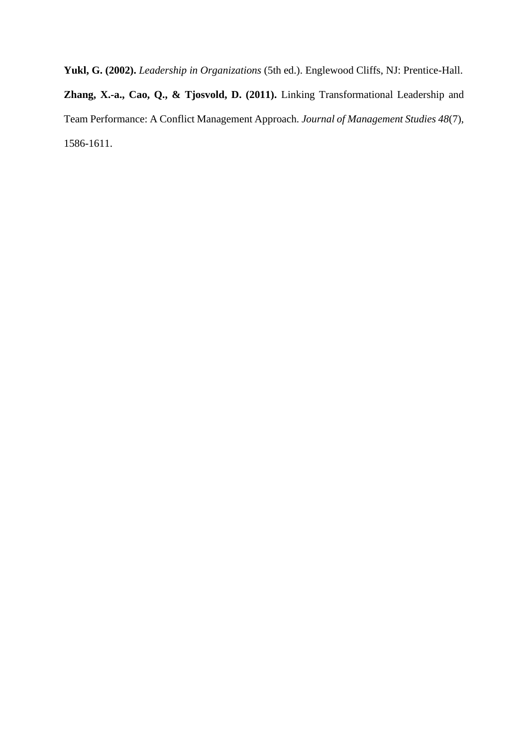**Yukl, G. (2002).** *Leadership in Organizations* (5th ed.). Englewood Cliffs, NJ: Prentice-Hall. **Zhang, X.-a., Cao, Q., & Tjosvold, D. (2011).** Linking Transformational Leadership and Team Performance: A Conflict Management Approach. *Journal of Management Studies 48*(7), 1586-1611.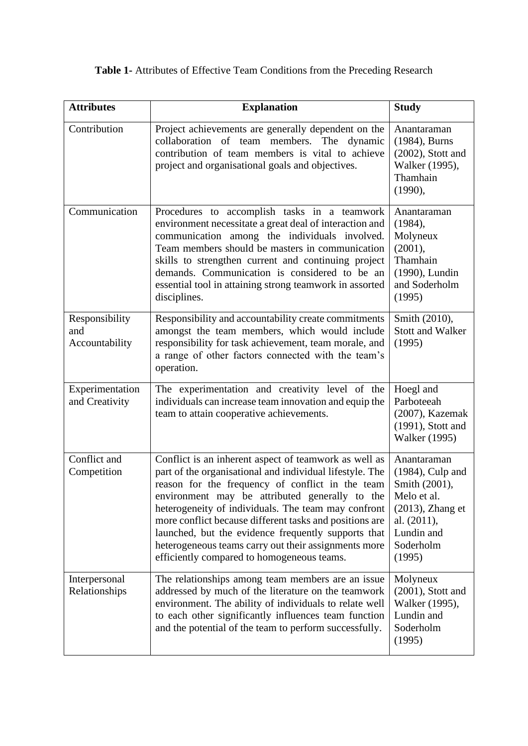**Table 1-** Attributes of Effective Team Conditions from the Preceding Research

| <b>Attributes</b>                       | <b>Explanation</b>                                                                                                                                                                                                                                                                                                                                                                                                                                                                                     | <b>Study</b>                                                                                           |  |
|-----------------------------------------|--------------------------------------------------------------------------------------------------------------------------------------------------------------------------------------------------------------------------------------------------------------------------------------------------------------------------------------------------------------------------------------------------------------------------------------------------------------------------------------------------------|--------------------------------------------------------------------------------------------------------|--|
| Contribution                            | Project achievements are generally dependent on the<br>collaboration of team<br>members. The dynamic<br>contribution of team members is vital to achieve<br>project and organisational goals and objectives.                                                                                                                                                                                                                                                                                           | Anantaraman<br>(1984), Burns<br>$(2002)$ , Stott and<br>Walker (1995),<br>Thamhain<br>(1990),          |  |
| Communication                           | Procedures to accomplish tasks in a teamwork<br>environment necessitate a great deal of interaction and<br>communication among the individuals involved.<br>Team members should be masters in communication<br>skills to strengthen current and continuing project<br>demands. Communication is considered to be an<br>essential tool in attaining strong teamwork in assorted<br>disciplines.                                                                                                         | Anantaraman<br>(1984),<br>Molyneux<br>(2001),<br>Thamhain<br>(1990), Lundin<br>and Soderholm<br>(1995) |  |
| Responsibility<br>and<br>Accountability | Responsibility and accountability create commitments<br>amongst the team members, which would include<br>responsibility for task achievement, team morale, and<br>a range of other factors connected with the team's<br>operation.                                                                                                                                                                                                                                                                     | Smith (2010),<br><b>Stott and Walker</b><br>(1995)                                                     |  |
| Experimentation<br>and Creativity       | The experimentation and creativity level of the<br>individuals can increase team innovation and equip the<br>team to attain cooperative achievements.                                                                                                                                                                                                                                                                                                                                                  | Hoegl and<br>Parboteeah<br>(2007), Kazemak<br>$(1991)$ , Stott and<br><b>Walker</b> (1995)             |  |
| Conflict and<br>Competition             | Conflict is an inherent aspect of teamwork as well as<br>part of the organisational and individual lifestyle. The<br>reason for the frequency of conflict in the team<br>environment may be attributed generally to the<br>heterogeneity of individuals. The team may confront<br>more conflict because different tasks and positions are<br>launched, but the evidence frequently supports that<br>heterogeneous teams carry out their assignments more<br>efficiently compared to homogeneous teams. |                                                                                                        |  |
| Interpersonal<br>Relationships          | The relationships among team members are an issue<br>addressed by much of the literature on the teamwork<br>environment. The ability of individuals to relate well<br>to each other significantly influences team function<br>and the potential of the team to perform successfully.                                                                                                                                                                                                                   | Molyneux<br>$(2001)$ , Stott and<br>Walker (1995),<br>Lundin and<br>Soderholm<br>(1995)                |  |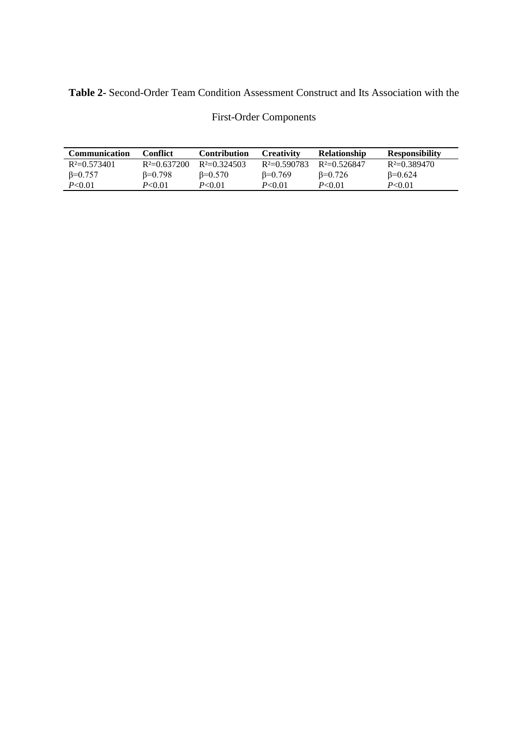# **Table 2-** Second-Order Team Condition Assessment Construct and Its Association with the

| <b>Communication</b> | Conflict        | <b>Contribution</b> | <b>Creativity</b> | <b>Relationship</b> | <b>Responsibility</b> |
|----------------------|-----------------|---------------------|-------------------|---------------------|-----------------------|
| $R^2=0.573401$       | $R^2=0.637200$  | $R^2=0.324503$      | $R^2=0.590783$    | $R^2=0.526847$      | $R^2=0.389470$        |
| $\beta = 0.757$      | $\beta = 0.798$ | $\beta = 0.570$     | $\beta = 0.769$   | $B=0.726$           | $\beta = 0.624$       |
| P< 0.01              | P<0.01          | P<0.01              | P < 0.01          | P < 0.01            | P < 0.01              |

# First-Order Components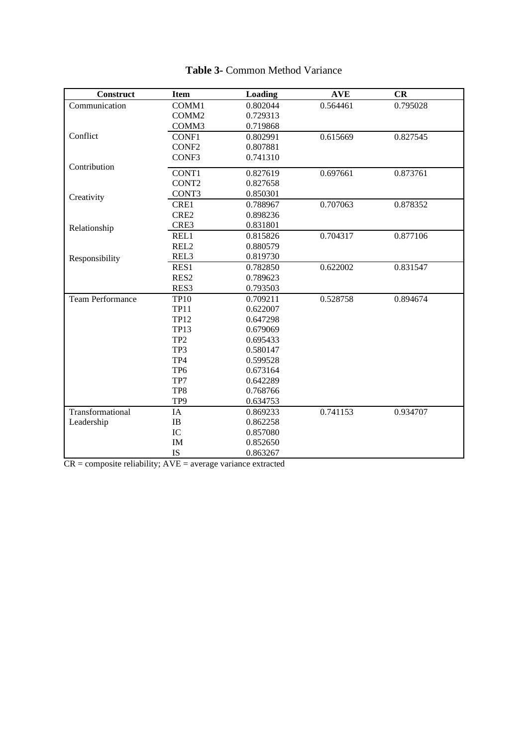| <b>Construct</b>        | <b>Item</b>       | Loading              | <b>AVE</b> | CR       |
|-------------------------|-------------------|----------------------|------------|----------|
| Communication           | COMM1             | 0.802044             | 0.564461   | 0.795028 |
|                         | COMM <sub>2</sub> | 0.729313             |            |          |
|                         | COMM3             | 0.719868             |            |          |
| Conflict                | CONF1             | 0.802991             | 0.615669   | 0.827545 |
|                         | CONF <sub>2</sub> | 0.807881             |            |          |
|                         | CONF <sub>3</sub> | 0.741310             |            |          |
| Contribution            | CONT1             | 0.827619             | 0.697661   | 0.873761 |
|                         | CONT2             | 0.827658             |            |          |
|                         | CONT3             | 0.850301             |            |          |
| Creativity              | CRE1              | 0.788967             | 0.707063   | 0.878352 |
|                         | CRE2              |                      |            |          |
|                         | CRE3              | 0.898236<br>0.831801 |            |          |
| Relationship            |                   |                      |            |          |
|                         | REL1              | 0.815826             | 0.704317   | 0.877106 |
|                         | REL <sub>2</sub>  | 0.880579             |            |          |
| Responsibility          | REL3              | 0.819730             |            |          |
|                         | RES1              | 0.782850             | 0.622002   | 0.831547 |
|                         | RES <sub>2</sub>  | 0.789623             |            |          |
|                         | RES3              | 0.793503             |            |          |
| <b>Team Performance</b> | <b>TP10</b>       | 0.709211             | 0.528758   | 0.894674 |
|                         | <b>TP11</b>       | 0.622007             |            |          |
|                         | <b>TP12</b>       | 0.647298             |            |          |
|                         | <b>TP13</b>       | 0.679069             |            |          |
|                         | TP <sub>2</sub>   | 0.695433             |            |          |
|                         | TP3               | 0.580147             |            |          |
|                         | TP4               | 0.599528             |            |          |
|                         | TP <sub>6</sub>   | 0.673164             |            |          |
|                         | TP7               | 0.642289             |            |          |
|                         | TP8               | 0.768766             |            |          |
|                         | TP9               | 0.634753             |            |          |
| Transformational        | IA                | 0.869233             | 0.741153   | 0.934707 |
| Leadership              | $\rm IB$          | 0.862258             |            |          |
|                         | IC                | 0.857080             |            |          |
|                         | IM                | 0.852650             |            |          |
|                         | <b>IS</b>         | 0.863267             |            |          |

# **Table 3-** Common Method Variance

 $CR = composite$  reliability;  $AVE = average$  variance extracted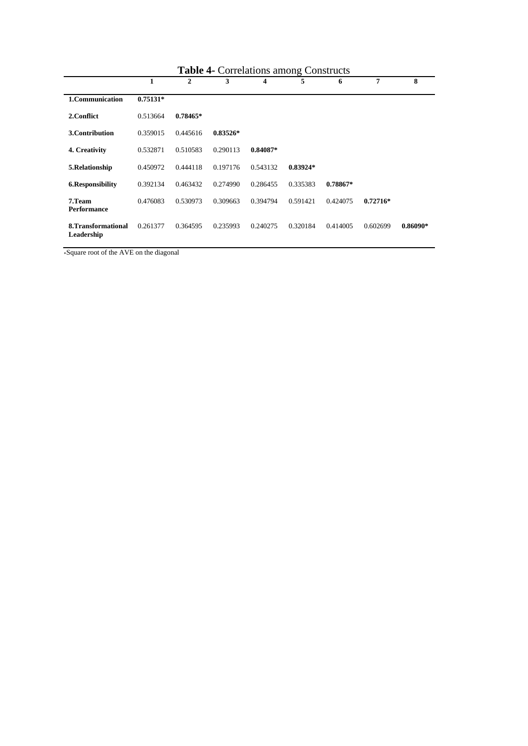| <b>Table 4- Correlations among Constructs</b> |            |            |            |            |            |            |            |            |
|-----------------------------------------------|------------|------------|------------|------------|------------|------------|------------|------------|
|                                               | 1          | 2          | 3          | 4          | 5          | 6          | 7          | 8          |
| 1. Communication                              | $0.75131*$ |            |            |            |            |            |            |            |
| 2. Conflict                                   | 0.513664   | $0.78465*$ |            |            |            |            |            |            |
| 3. Contribution                               | 0.359015   | 0.445616   | $0.83526*$ |            |            |            |            |            |
| 4. Creativity                                 | 0.532871   | 0.510583   | 0.290113   | $0.84087*$ |            |            |            |            |
| 5.Relationship                                | 0.450972   | 0.444118   | 0.197176   | 0.543132   | $0.83924*$ |            |            |            |
| 6.Responsibility                              | 0.392134   | 0.463432   | 0.274990   | 0.286455   | 0.335383   | $0.78867*$ |            |            |
| 7.Team<br>Performance                         | 0.476083   | 0.530973   | 0.309663   | 0.394794   | 0.591421   | 0.424075   | $0.72716*$ |            |
| 8. Transformational<br>Leadership             | 0.261377   | 0.364595   | 0.235993   | 0.240275   | 0.320184   | 0.414005   | 0.602699   | $0.86090*$ |

# **Table 4-** Correlations among Constructs

∗Square root of the AVE on the diagonal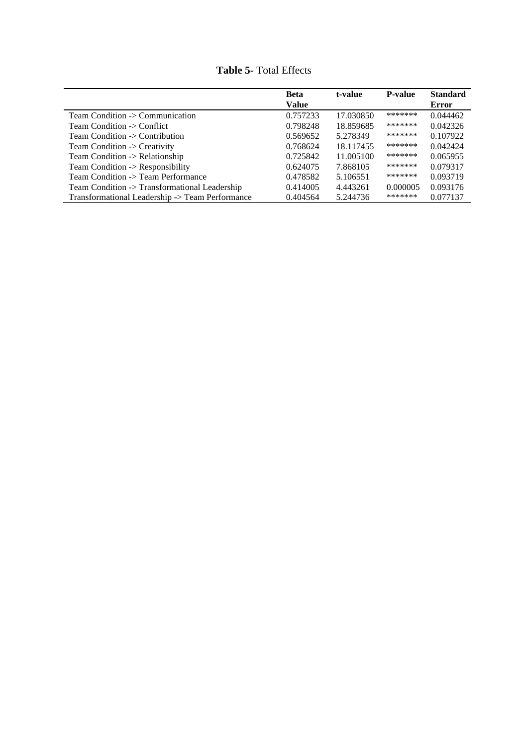|                                                 | <b>Beta</b>  | t-value   | <b>P-value</b> | <b>Standard</b> |
|-------------------------------------------------|--------------|-----------|----------------|-----------------|
|                                                 | <b>Value</b> |           |                | <b>Error</b>    |
| Team Condition $\rightarrow$ Communication      | 0.757233     | 17.030850 | *******        | 0.044462        |
| Team Condition -> Conflict                      | 0.798248     | 18.859685 | *******        | 0.042326        |
| Team Condition -> Contribution                  | 0.569652     | 5.278349  | *******        | 0.107922        |
| Team Condition -> Creativity                    | 0.768624     | 18.117455 | *******        | 0.042424        |
| Team Condition -> Relationship                  | 0.725842     | 11.005100 | *******        | 0.065955        |
| Team Condition -> Responsibility                | 0.624075     | 7.868105  | *******        | 0.079317        |
| Team Condition -> Team Performance              | 0.478582     | 5.106551  | *******        | 0.093719        |
| Team Condition -> Transformational Leadership   | 0.414005     | 4.443261  | 0.000005       | 0.093176        |
| Transformational Leadership -> Team Performance | 0.404564     | 5.244736  | *******        | 0.077137        |

**Table 5-** Total Effects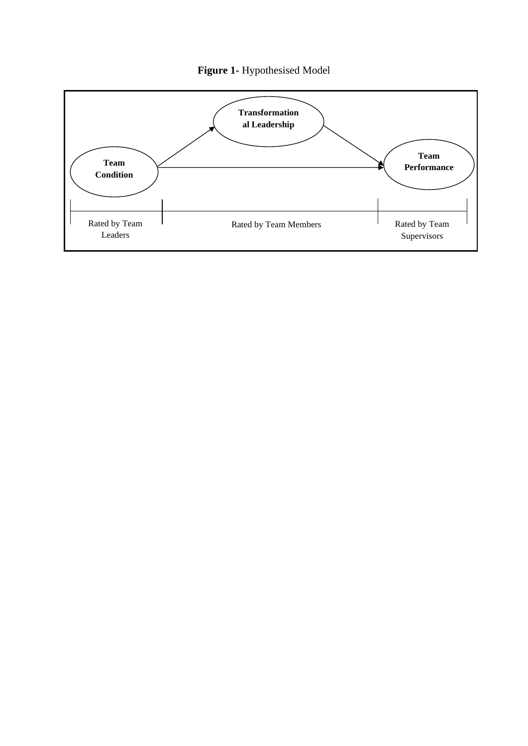

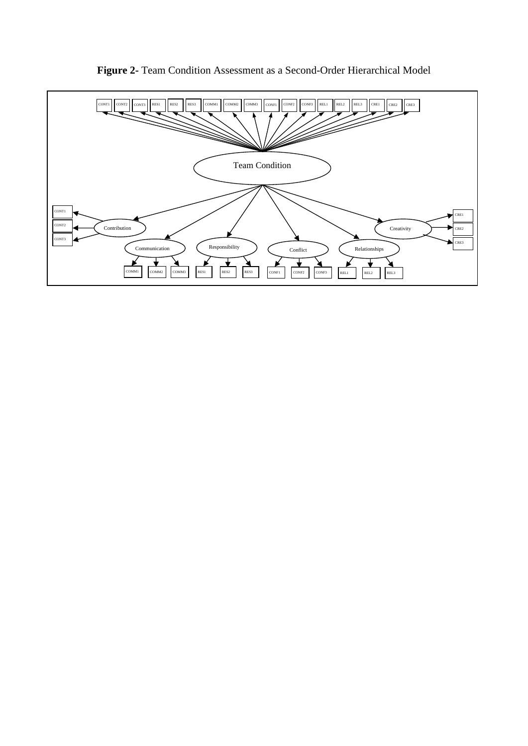

**Figure 2-** Team Condition Assessment as a Second-Order Hierarchical Model